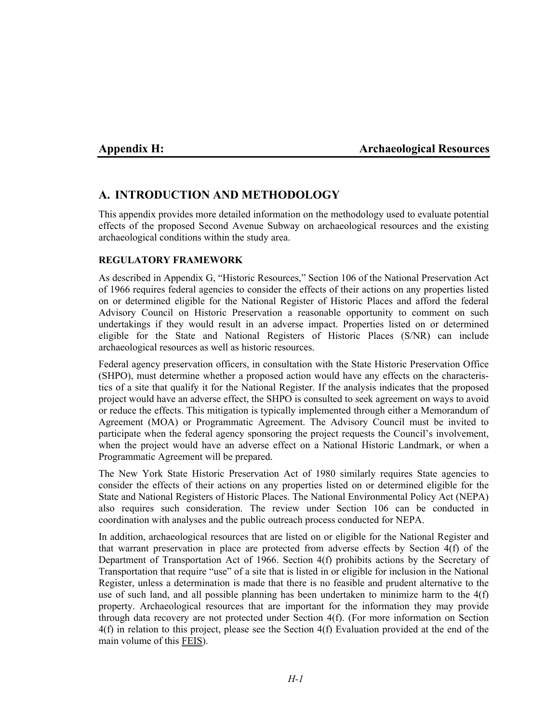## **Appendix H: Archaeological Resources**

# **A. INTRODUCTION AND METHODOLOGY**

This appendix provides more detailed information on the methodology used to evaluate potential effects of the proposed Second Avenue Subway on archaeological resources and the existing archaeological conditions within the study area.

#### **REGULATORY FRAMEWORK**

As described in Appendix G, "Historic Resources," Section 106 of the National Preservation Act of 1966 requires federal agencies to consider the effects of their actions on any properties listed on or determined eligible for the National Register of Historic Places and afford the federal Advisory Council on Historic Preservation a reasonable opportunity to comment on such undertakings if they would result in an adverse impact. Properties listed on or determined eligible for the State and National Registers of Historic Places (S/NR) can include archaeological resources as well as historic resources.

Federal agency preservation officers, in consultation with the State Historic Preservation Office (SHPO), must determine whether a proposed action would have any effects on the characteristics of a site that qualify it for the National Register. If the analysis indicates that the proposed project would have an adverse effect, the SHPO is consulted to seek agreement on ways to avoid or reduce the effects. This mitigation is typically implemented through either a Memorandum of Agreement (MOA) or Programmatic Agreement. The Advisory Council must be invited to participate when the federal agency sponsoring the project requests the Council's involvement, when the project would have an adverse effect on a National Historic Landmark, or when a Programmatic Agreement will be prepared.

The New York State Historic Preservation Act of 1980 similarly requires State agencies to consider the effects of their actions on any properties listed on or determined eligible for the State and National Registers of Historic Places. The National Environmental Policy Act (NEPA) also requires such consideration. The review under Section 106 can be conducted in coordination with analyses and the public outreach process conducted for NEPA.

In addition, archaeological resources that are listed on or eligible for the National Register and that warrant preservation in place are protected from adverse effects by Section 4(f) of the Department of Transportation Act of 1966. Section 4(f) prohibits actions by the Secretary of Transportation that require "use" of a site that is listed in or eligible for inclusion in the National Register, unless a determination is made that there is no feasible and prudent alternative to the use of such land, and all possible planning has been undertaken to minimize harm to the 4(f) property. Archaeological resources that are important for the information they may provide through data recovery are not protected under Section 4(f). (For more information on Section 4(f) in relation to this project, please see the Section 4(f) Evaluation provided at the end of the main volume of this FEIS).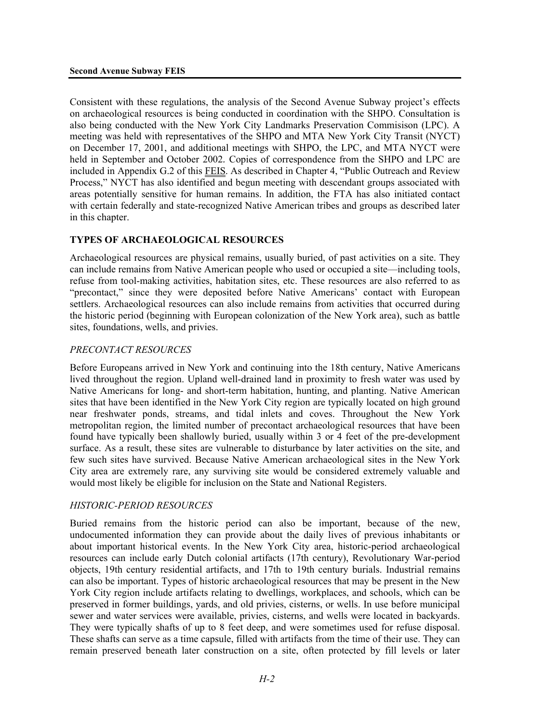Consistent with these regulations, the analysis of the Second Avenue Subway project's effects on archaeological resources is being conducted in coordination with the SHPO. Consultation is also being conducted with the New York City Landmarks Preservation Commisison (LPC). A meeting was held with representatives of the SHPO and MTA New York City Transit (NYCT) on December 17, 2001, and additional meetings with SHPO, the LPC, and MTA NYCT were held in September and October 2002*.* Copies of correspondence from the SHPO and LPC are included in Appendix G.2 of this FEIS. As described in Chapter 4, "Public Outreach and Review Process," NYCT has also identified and begun meeting with descendant groups associated with areas potentially sensitive for human remains. In addition, the FTA has also initiated contact with certain federally and state-recognized Native American tribes and groups as described later in this chapter.

## **TYPES OF ARCHAEOLOGICAL RESOURCES**

Archaeological resources are physical remains, usually buried, of past activities on a site. They can include remains from Native American people who used or occupied a site—including tools, refuse from tool-making activities, habitation sites, etc. These resources are also referred to as "precontact," since they were deposited before Native Americans' contact with European settlers. Archaeological resources can also include remains from activities that occurred during the historic period (beginning with European colonization of the New York area), such as battle sites, foundations, wells, and privies.

## *PRECONTACT RESOURCES*

Before Europeans arrived in New York and continuing into the 18th century, Native Americans lived throughout the region. Upland well-drained land in proximity to fresh water was used by Native Americans for long- and short-term habitation, hunting, and planting. Native American sites that have been identified in the New York City region are typically located on high ground near freshwater ponds, streams, and tidal inlets and coves. Throughout the New York metropolitan region, the limited number of precontact archaeological resources that have been found have typically been shallowly buried, usually within 3 or 4 feet of the pre-development surface. As a result, these sites are vulnerable to disturbance by later activities on the site, and few such sites have survived. Because Native American archaeological sites in the New York City area are extremely rare, any surviving site would be considered extremely valuable and would most likely be eligible for inclusion on the State and National Registers.

## *HISTORIC-PERIOD RESOURCES*

Buried remains from the historic period can also be important, because of the new, undocumented information they can provide about the daily lives of previous inhabitants or about important historical events. In the New York City area, historic-period archaeological resources can include early Dutch colonial artifacts (17th century), Revolutionary War-period objects, 19th century residential artifacts, and 17th to 19th century burials. Industrial remains can also be important. Types of historic archaeological resources that may be present in the New York City region include artifacts relating to dwellings, workplaces, and schools, which can be preserved in former buildings, yards, and old privies, cisterns, or wells. In use before municipal sewer and water services were available, privies, cisterns, and wells were located in backyards. They were typically shafts of up to 8 feet deep, and were sometimes used for refuse disposal. These shafts can serve as a time capsule, filled with artifacts from the time of their use. They can remain preserved beneath later construction on a site, often protected by fill levels or later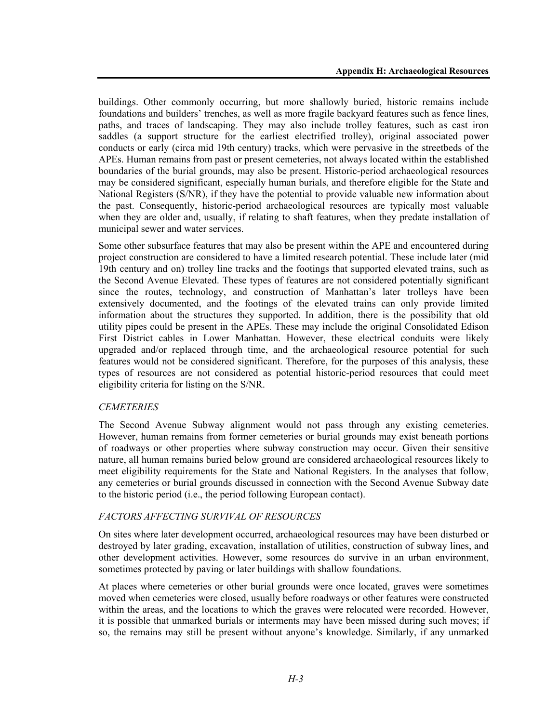buildings. Other commonly occurring, but more shallowly buried, historic remains include foundations and builders' trenches, as well as more fragile backyard features such as fence lines, paths, and traces of landscaping. They may also include trolley features, such as cast iron saddles (a support structure for the earliest electrified trolley), original associated power conducts or early (circa mid 19th century) tracks, which were pervasive in the streetbeds of the APEs. Human remains from past or present cemeteries, not always located within the established boundaries of the burial grounds, may also be present. Historic-period archaeological resources may be considered significant, especially human burials, and therefore eligible for the State and National Registers (S/NR), if they have the potential to provide valuable new information about the past. Consequently, historic-period archaeological resources are typically most valuable when they are older and, usually, if relating to shaft features, when they predate installation of municipal sewer and water services.

Some other subsurface features that may also be present within the APE and encountered during project construction are considered to have a limited research potential. These include later (mid 19th century and on) trolley line tracks and the footings that supported elevated trains, such as the Second Avenue Elevated. These types of features are not considered potentially significant since the routes, technology, and construction of Manhattan's later trolleys have been extensively documented, and the footings of the elevated trains can only provide limited information about the structures they supported. In addition, there is the possibility that old utility pipes could be present in the APEs. These may include the original Consolidated Edison First District cables in Lower Manhattan. However, these electrical conduits were likely upgraded and/or replaced through time, and the archaeological resource potential for such features would not be considered significant. Therefore, for the purposes of this analysis, these types of resources are not considered as potential historic-period resources that could meet eligibility criteria for listing on the S/NR.

## *CEMETERIES*

The Second Avenue Subway alignment would not pass through any existing cemeteries. However, human remains from former cemeteries or burial grounds may exist beneath portions of roadways or other properties where subway construction may occur. Given their sensitive nature, all human remains buried below ground are considered archaeological resources likely to meet eligibility requirements for the State and National Registers. In the analyses that follow, any cemeteries or burial grounds discussed in connection with the Second Avenue Subway date to the historic period (i.e., the period following European contact).

# *FACTORS AFFECTING SURVIVAL OF RESOURCES*

On sites where later development occurred, archaeological resources may have been disturbed or destroyed by later grading, excavation, installation of utilities, construction of subway lines, and other development activities. However, some resources do survive in an urban environment, sometimes protected by paving or later buildings with shallow foundations.

At places where cemeteries or other burial grounds were once located, graves were sometimes moved when cemeteries were closed, usually before roadways or other features were constructed within the areas, and the locations to which the graves were relocated were recorded. However, it is possible that unmarked burials or interments may have been missed during such moves; if so, the remains may still be present without anyone's knowledge. Similarly, if any unmarked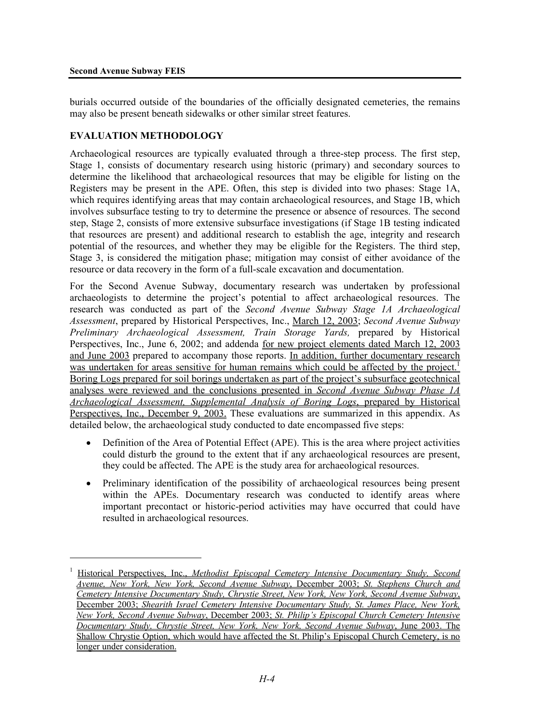1

burials occurred outside of the boundaries of the officially designated cemeteries, the remains may also be present beneath sidewalks or other similar street features.

# **EVALUATION METHODOLOGY**

Archaeological resources are typically evaluated through a three-step process. The first step, Stage 1, consists of documentary research using historic (primary) and secondary sources to determine the likelihood that archaeological resources that may be eligible for listing on the Registers may be present in the APE. Often, this step is divided into two phases: Stage 1A, which requires identifying areas that may contain archaeological resources, and Stage 1B, which involves subsurface testing to try to determine the presence or absence of resources. The second step, Stage 2, consists of more extensive subsurface investigations (if Stage 1B testing indicated that resources are present) and additional research to establish the age, integrity and research potential of the resources, and whether they may be eligible for the Registers. The third step, Stage 3, is considered the mitigation phase; mitigation may consist of either avoidance of the resource or data recovery in the form of a full-scale excavation and documentation.

For the Second Avenue Subway, documentary research was undertaken by professional archaeologists to determine the project's potential to affect archaeological resources. The research was conducted as part of the *Second Avenue Subway Stage 1A Archaeological Assessment*, prepared by Historical Perspectives, Inc., March 12, 2003; *Second Avenue Subway Preliminary Archaeological Assessment, Train Storage Yards,* prepared by Historical Perspectives, Inc., June 6, 2002; and addenda for new project elements dated March 12, 2003 and June 2003 prepared to accompany those reports. In addition, further documentary research was undertaken for areas sensitive for human remains which could be affected by the project.<sup>1</sup> Boring Logs prepared for soil borings undertaken as part of the project's subsurface geotechnical analyses were reviewed and the conclusions presented in *Second Avenue Subway Phase 1A Archaeological Assessment, Supplemental Analysis of Boring Logs*, prepared by Historical Perspectives, Inc., December 9, 2003. These evaluations are summarized in this appendix. As detailed below, the archaeological study conducted to date encompassed five steps:

- Definition of the Area of Potential Effect (APE). This is the area where project activities could disturb the ground to the extent that if any archaeological resources are present, they could be affected. The APE is the study area for archaeological resources.
- Preliminary identification of the possibility of archaeological resources being present within the APEs. Documentary research was conducted to identify areas where important precontact or historic-period activities may have occurred that could have resulted in archaeological resources.

<sup>1</sup> Historical Perspectives, Inc., *Methodist Episcopal Cemetery Intensive Documentary Study, Second Avenue, New York, New York, Second Avenue Subway*, December 2003; *St. Stephens Church and Cemetery Intensive Documentary Study, Chrystie Street, New York, New York, Second Avenue Subway*, December 2003; *Shearith Israel Cemetery Intensive Documentary Study, St. James Place, New York, New York, Second Avenue Subway*, December 2003; *St. Philip's Episcopal Church Cemetery Intensive Documentary Study, Chrystie Street, New York, New York, Second Avenue Subway*, June 2003. The Shallow Chrystie Option, which would have affected the St. Philip's Episcopal Church Cemetery, is no longer under consideration.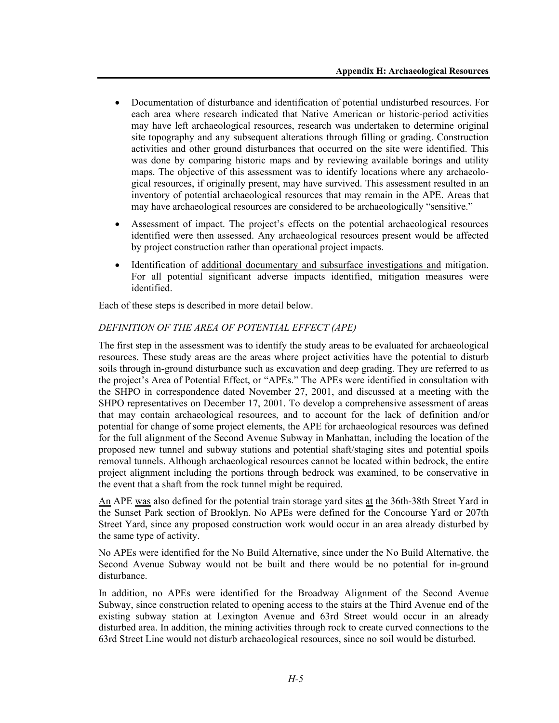- Documentation of disturbance and identification of potential undisturbed resources. For each area where research indicated that Native American or historic-period activities may have left archaeological resources, research was undertaken to determine original site topography and any subsequent alterations through filling or grading. Construction activities and other ground disturbances that occurred on the site were identified. This was done by comparing historic maps and by reviewing available borings and utility maps. The objective of this assessment was to identify locations where any archaeological resources, if originally present, may have survived. This assessment resulted in an inventory of potential archaeological resources that may remain in the APE. Areas that may have archaeological resources are considered to be archaeologically "sensitive."
- Assessment of impact. The project's effects on the potential archaeological resources identified were then assessed. Any archaeological resources present would be affected by project construction rather than operational project impacts.
- Identification of additional documentary and subsurface investigations and mitigation. For all potential significant adverse impacts identified, mitigation measures were identified.

Each of these steps is described in more detail below.

# *DEFINITION OF THE AREA OF POTENTIAL EFFECT (APE)*

The first step in the assessment was to identify the study areas to be evaluated for archaeological resources. These study areas are the areas where project activities have the potential to disturb soils through in-ground disturbance such as excavation and deep grading. They are referred to as the project's Area of Potential Effect, or "APEs." The APEs were identified in consultation with the SHPO in correspondence dated November 27, 2001, and discussed at a meeting with the SHPO representatives on December 17, 2001. To develop a comprehensive assessment of areas that may contain archaeological resources, and to account for the lack of definition and/or potential for change of some project elements, the APE for archaeological resources was defined for the full alignment of the Second Avenue Subway in Manhattan, including the location of the proposed new tunnel and subway stations and potential shaft/staging sites and potential spoils removal tunnels. Although archaeological resources cannot be located within bedrock, the entire project alignment including the portions through bedrock was examined, to be conservative in the event that a shaft from the rock tunnel might be required.

An APE was also defined for the potential train storage yard sites at the 36th-38th Street Yard in the Sunset Park section of Brooklyn. No APEs were defined for the Concourse Yard or 207th Street Yard, since any proposed construction work would occur in an area already disturbed by the same type of activity.

No APEs were identified for the No Build Alternative, since under the No Build Alternative, the Second Avenue Subway would not be built and there would be no potential for in-ground disturbance.

In addition, no APEs were identified for the Broadway Alignment of the Second Avenue Subway, since construction related to opening access to the stairs at the Third Avenue end of the existing subway station at Lexington Avenue and 63rd Street would occur in an already disturbed area. In addition, the mining activities through rock to create curved connections to the 63rd Street Line would not disturb archaeological resources, since no soil would be disturbed.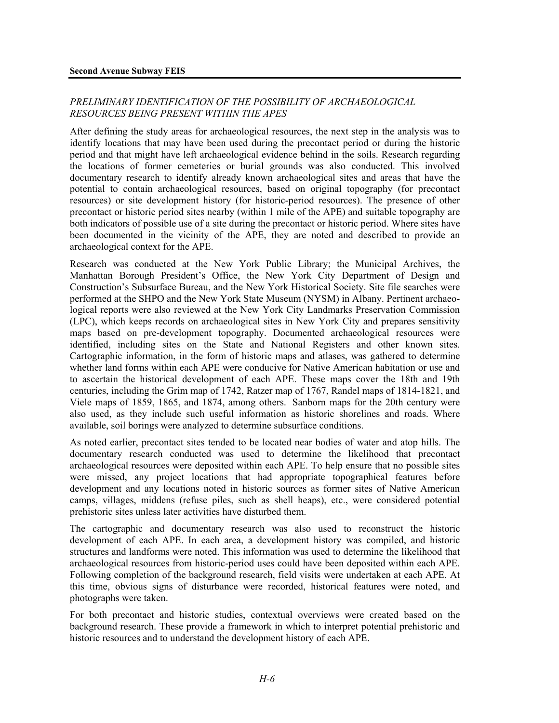## *PRELIMINARY IDENTIFICATION OF THE POSSIBILITY OF ARCHAEOLOGICAL RESOURCES BEING PRESENT WITHIN THE APES*

After defining the study areas for archaeological resources, the next step in the analysis was to identify locations that may have been used during the precontact period or during the historic period and that might have left archaeological evidence behind in the soils. Research regarding the locations of former cemeteries or burial grounds was also conducted. This involved documentary research to identify already known archaeological sites and areas that have the potential to contain archaeological resources, based on original topography (for precontact resources) or site development history (for historic-period resources). The presence of other precontact or historic period sites nearby (within 1 mile of the APE) and suitable topography are both indicators of possible use of a site during the precontact or historic period. Where sites have been documented in the vicinity of the APE, they are noted and described to provide an archaeological context for the APE.

Research was conducted at the New York Public Library; the Municipal Archives, the Manhattan Borough President's Office, the New York City Department of Design and Construction's Subsurface Bureau, and the New York Historical Society. Site file searches were performed at the SHPO and the New York State Museum (NYSM) in Albany. Pertinent archaeological reports were also reviewed at the New York City Landmarks Preservation Commission (LPC), which keeps records on archaeological sites in New York City and prepares sensitivity maps based on pre-development topography. Documented archaeological resources were identified, including sites on the State and National Registers and other known sites. Cartographic information, in the form of historic maps and atlases, was gathered to determine whether land forms within each APE were conducive for Native American habitation or use and to ascertain the historical development of each APE. These maps cover the 18th and 19th centuries, including the Grim map of 1742, Ratzer map of 1767, Randel maps of 1814-1821, and Viele maps of 1859, 1865, and 1874, among others. Sanborn maps for the 20th century were also used, as they include such useful information as historic shorelines and roads. Where available, soil borings were analyzed to determine subsurface conditions.

As noted earlier, precontact sites tended to be located near bodies of water and atop hills. The documentary research conducted was used to determine the likelihood that precontact archaeological resources were deposited within each APE. To help ensure that no possible sites were missed, any project locations that had appropriate topographical features before development and any locations noted in historic sources as former sites of Native American camps, villages, middens (refuse piles, such as shell heaps), etc., were considered potential prehistoric sites unless later activities have disturbed them.

The cartographic and documentary research was also used to reconstruct the historic development of each APE. In each area, a development history was compiled, and historic structures and landforms were noted. This information was used to determine the likelihood that archaeological resources from historic-period uses could have been deposited within each APE. Following completion of the background research, field visits were undertaken at each APE. At this time, obvious signs of disturbance were recorded, historical features were noted, and photographs were taken.

For both precontact and historic studies, contextual overviews were created based on the background research. These provide a framework in which to interpret potential prehistoric and historic resources and to understand the development history of each APE.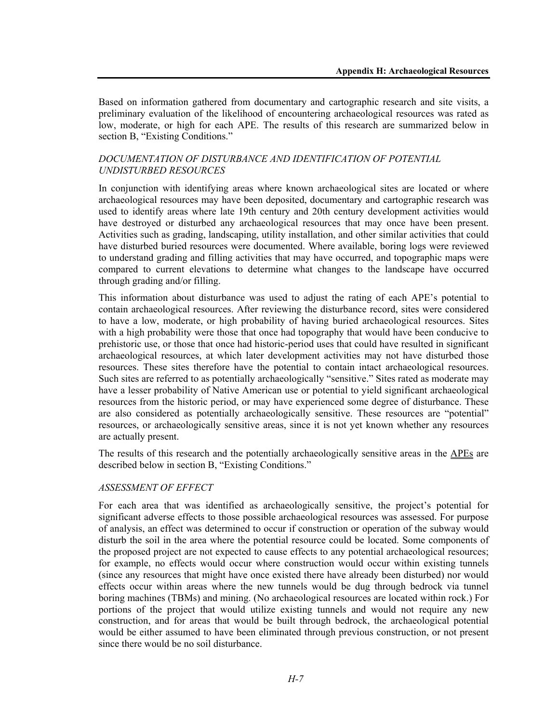Based on information gathered from documentary and cartographic research and site visits, a preliminary evaluation of the likelihood of encountering archaeological resources was rated as low, moderate, or high for each APE. The results of this research are summarized below in section B, "Existing Conditions."

## *DOCUMENTATION OF DISTURBANCE AND IDENTIFICATION OF POTENTIAL UNDISTURBED RESOURCES*

In conjunction with identifying areas where known archaeological sites are located or where archaeological resources may have been deposited, documentary and cartographic research was used to identify areas where late 19th century and 20th century development activities would have destroyed or disturbed any archaeological resources that may once have been present. Activities such as grading, landscaping, utility installation, and other similar activities that could have disturbed buried resources were documented. Where available, boring logs were reviewed to understand grading and filling activities that may have occurred, and topographic maps were compared to current elevations to determine what changes to the landscape have occurred through grading and/or filling.

This information about disturbance was used to adjust the rating of each APE's potential to contain archaeological resources. After reviewing the disturbance record, sites were considered to have a low, moderate, or high probability of having buried archaeological resources. Sites with a high probability were those that once had topography that would have been conducive to prehistoric use, or those that once had historic-period uses that could have resulted in significant archaeological resources, at which later development activities may not have disturbed those resources. These sites therefore have the potential to contain intact archaeological resources. Such sites are referred to as potentially archaeologically "sensitive." Sites rated as moderate may have a lesser probability of Native American use or potential to yield significant archaeological resources from the historic period, or may have experienced some degree of disturbance. These are also considered as potentially archaeologically sensitive. These resources are "potential" resources, or archaeologically sensitive areas, since it is not yet known whether any resources are actually present.

The results of this research and the potentially archaeologically sensitive areas in the APEs are described below in section B, "Existing Conditions."

## *ASSESSMENT OF EFFECT*

For each area that was identified as archaeologically sensitive, the project's potential for significant adverse effects to those possible archaeological resources was assessed. For purpose of analysis, an effect was determined to occur if construction or operation of the subway would disturb the soil in the area where the potential resource could be located. Some components of the proposed project are not expected to cause effects to any potential archaeological resources; for example, no effects would occur where construction would occur within existing tunnels (since any resources that might have once existed there have already been disturbed) nor would effects occur within areas where the new tunnels would be dug through bedrock via tunnel boring machines (TBMs) and mining. (No archaeological resources are located within rock.) For portions of the project that would utilize existing tunnels and would not require any new construction, and for areas that would be built through bedrock, the archaeological potential would be either assumed to have been eliminated through previous construction, or not present since there would be no soil disturbance.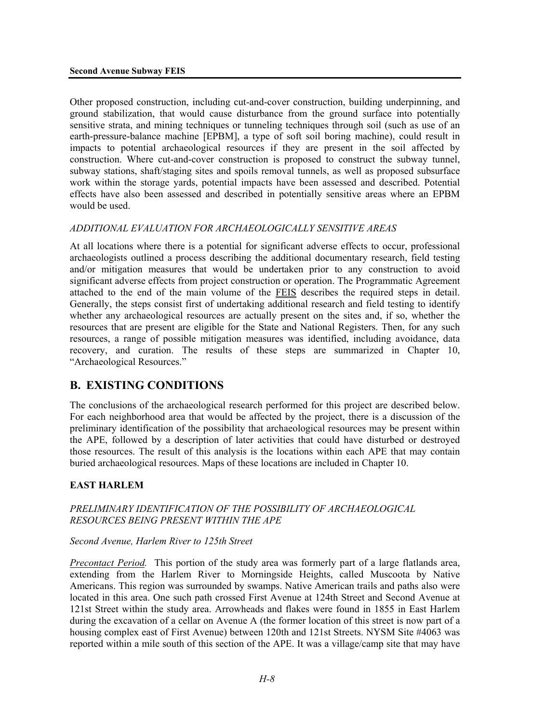Other proposed construction, including cut-and-cover construction, building underpinning, and ground stabilization, that would cause disturbance from the ground surface into potentially sensitive strata, and mining techniques or tunneling techniques through soil (such as use of an earth-pressure-balance machine [EPBM], a type of soft soil boring machine), could result in impacts to potential archaeological resources if they are present in the soil affected by construction. Where cut-and-cover construction is proposed to construct the subway tunnel, subway stations, shaft/staging sites and spoils removal tunnels, as well as proposed subsurface work within the storage yards, potential impacts have been assessed and described. Potential effects have also been assessed and described in potentially sensitive areas where an EPBM would be used.

## *ADDITIONAL EVALUATION FOR ARCHAEOLOGICALLY SENSITIVE AREAS*

At all locations where there is a potential for significant adverse effects to occur, professional archaeologists outlined a process describing the additional documentary research, field testing and/or mitigation measures that would be undertaken prior to any construction to avoid significant adverse effects from project construction or operation. The Programmatic Agreement attached to the end of the main volume of the FEIS describes the required steps in detail. Generally, the steps consist first of undertaking additional research and field testing to identify whether any archaeological resources are actually present on the sites and, if so, whether the resources that are present are eligible for the State and National Registers. Then, for any such resources, a range of possible mitigation measures was identified, including avoidance, data recovery, and curation. The results of these steps are summarized in Chapter 10, "Archaeological Resources."

# **B. EXISTING CONDITIONS**

The conclusions of the archaeological research performed for this project are described below. For each neighborhood area that would be affected by the project, there is a discussion of the preliminary identification of the possibility that archaeological resources may be present within the APE, followed by a description of later activities that could have disturbed or destroyed those resources. The result of this analysis is the locations within each APE that may contain buried archaeological resources. Maps of these locations are included in Chapter 10.

# **EAST HARLEM**

## *PRELIMINARY IDENTIFICATION OF THE POSSIBILITY OF ARCHAEOLOGICAL RESOURCES BEING PRESENT WITHIN THE APE*

## *Second Avenue, Harlem River to 125th Street*

*Precontact Period.* This portion of the study area was formerly part of a large flatlands area, extending from the Harlem River to Morningside Heights, called Muscoota by Native Americans. This region was surrounded by swamps. Native American trails and paths also were located in this area. One such path crossed First Avenue at 124th Street and Second Avenue at 121st Street within the study area. Arrowheads and flakes were found in 1855 in East Harlem during the excavation of a cellar on Avenue A (the former location of this street is now part of a housing complex east of First Avenue) between 120th and 121st Streets. NYSM Site #4063 was reported within a mile south of this section of the APE. It was a village/camp site that may have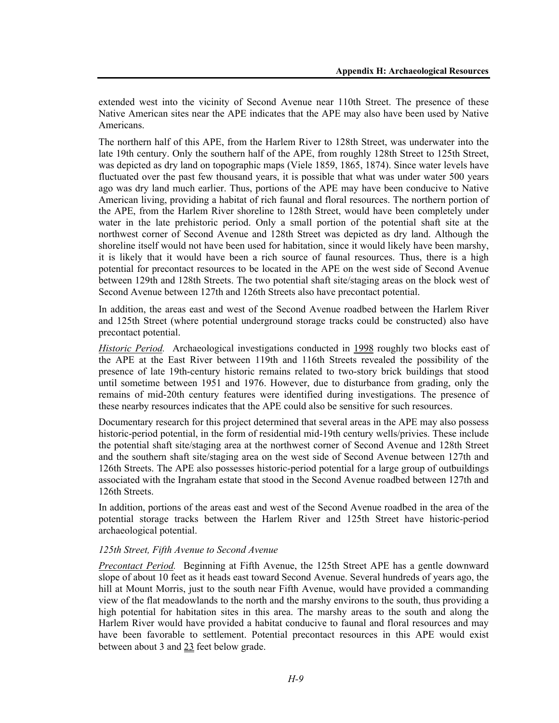extended west into the vicinity of Second Avenue near 110th Street. The presence of these Native American sites near the APE indicates that the APE may also have been used by Native Americans.

The northern half of this APE, from the Harlem River to 128th Street, was underwater into the late 19th century. Only the southern half of the APE, from roughly 128th Street to 125th Street, was depicted as dry land on topographic maps (Viele 1859, 1865, 1874). Since water levels have fluctuated over the past few thousand years, it is possible that what was under water 500 years ago was dry land much earlier. Thus, portions of the APE may have been conducive to Native American living, providing a habitat of rich faunal and floral resources. The northern portion of the APE, from the Harlem River shoreline to 128th Street, would have been completely under water in the late prehistoric period. Only a small portion of the potential shaft site at the northwest corner of Second Avenue and 128th Street was depicted as dry land. Although the shoreline itself would not have been used for habitation, since it would likely have been marshy, it is likely that it would have been a rich source of faunal resources. Thus, there is a high potential for precontact resources to be located in the APE on the west side of Second Avenue between 129th and 128th Streets. The two potential shaft site/staging areas on the block west of Second Avenue between 127th and 126th Streets also have precontact potential.

In addition, the areas east and west of the Second Avenue roadbed between the Harlem River and 125th Street (where potential underground storage tracks could be constructed) also have precontact potential.

*Historic Period.* Archaeological investigations conducted in 1998 roughly two blocks east of the APE at the East River between 119th and 116th Streets revealed the possibility of the presence of late 19th-century historic remains related to two-story brick buildings that stood until sometime between 1951 and 1976. However, due to disturbance from grading, only the remains of mid-20th century features were identified during investigations. The presence of these nearby resources indicates that the APE could also be sensitive for such resources.

Documentary research for this project determined that several areas in the APE may also possess historic-period potential, in the form of residential mid-19th century wells/privies. These include the potential shaft site/staging area at the northwest corner of Second Avenue and 128th Street and the southern shaft site/staging area on the west side of Second Avenue between 127th and 126th Streets. The APE also possesses historic-period potential for a large group of outbuildings associated with the Ingraham estate that stood in the Second Avenue roadbed between 127th and 126th Streets.

In addition, portions of the areas east and west of the Second Avenue roadbed in the area of the potential storage tracks between the Harlem River and 125th Street have historic-period archaeological potential.

## *125th Street, Fifth Avenue to Second Avenue*

*Precontact Period.* Beginning at Fifth Avenue, the 125th Street APE has a gentle downward slope of about 10 feet as it heads east toward Second Avenue. Several hundreds of years ago, the hill at Mount Morris, just to the south near Fifth Avenue, would have provided a commanding view of the flat meadowlands to the north and the marshy environs to the south, thus providing a high potential for habitation sites in this area. The marshy areas to the south and along the Harlem River would have provided a habitat conducive to faunal and floral resources and may have been favorable to settlement. Potential precontact resources in this APE would exist between about 3 and 23 feet below grade.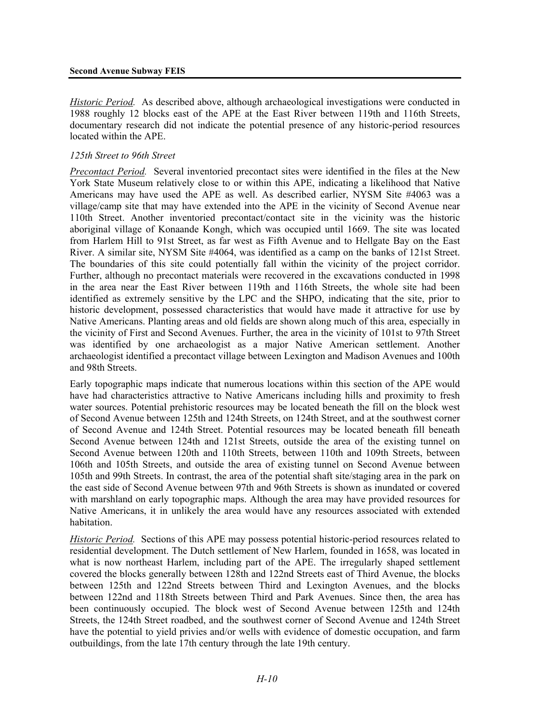#### **Second Avenue Subway FEIS**

*Historic Period.* As described above, although archaeological investigations were conducted in 1988 roughly 12 blocks east of the APE at the East River between 119th and 116th Streets, documentary research did not indicate the potential presence of any historic-period resources located within the APE.

## *125th Street to 96th Street*

*Precontact Period.* Several inventoried precontact sites were identified in the files at the New York State Museum relatively close to or within this APE, indicating a likelihood that Native Americans may have used the APE as well. As described earlier, NYSM Site #4063 was a village/camp site that may have extended into the APE in the vicinity of Second Avenue near 110th Street. Another inventoried precontact/contact site in the vicinity was the historic aboriginal village of Konaande Kongh, which was occupied until 1669. The site was located from Harlem Hill to 91st Street, as far west as Fifth Avenue and to Hellgate Bay on the East River. A similar site, NYSM Site #4064, was identified as a camp on the banks of 121st Street. The boundaries of this site could potentially fall within the vicinity of the project corridor. Further, although no precontact materials were recovered in the excavations conducted in 1998 in the area near the East River between 119th and 116th Streets, the whole site had been identified as extremely sensitive by the LPC and the SHPO, indicating that the site, prior to historic development, possessed characteristics that would have made it attractive for use by Native Americans. Planting areas and old fields are shown along much of this area, especially in the vicinity of First and Second Avenues. Further, the area in the vicinity of 101st to 97th Street was identified by one archaeologist as a major Native American settlement. Another archaeologist identified a precontact village between Lexington and Madison Avenues and 100th and 98th Streets.

Early topographic maps indicate that numerous locations within this section of the APE would have had characteristics attractive to Native Americans including hills and proximity to fresh water sources. Potential prehistoric resources may be located beneath the fill on the block west of Second Avenue between 125th and 124th Streets, on 124th Street, and at the southwest corner of Second Avenue and 124th Street. Potential resources may be located beneath fill beneath Second Avenue between 124th and 121st Streets, outside the area of the existing tunnel on Second Avenue between 120th and 110th Streets, between 110th and 109th Streets, between 106th and 105th Streets, and outside the area of existing tunnel on Second Avenue between 105th and 99th Streets. In contrast, the area of the potential shaft site/staging area in the park on the east side of Second Avenue between 97th and 96th Streets is shown as inundated or covered with marshland on early topographic maps. Although the area may have provided resources for Native Americans, it in unlikely the area would have any resources associated with extended habitation.

*Historic Period.* Sections of this APE may possess potential historic-period resources related to residential development. The Dutch settlement of New Harlem, founded in 1658, was located in what is now northeast Harlem, including part of the APE. The irregularly shaped settlement covered the blocks generally between 128th and 122nd Streets east of Third Avenue, the blocks between 125th and 122nd Streets between Third and Lexington Avenues, and the blocks between 122nd and 118th Streets between Third and Park Avenues. Since then, the area has been continuously occupied. The block west of Second Avenue between 125th and 124th Streets, the 124th Street roadbed, and the southwest corner of Second Avenue and 124th Street have the potential to yield privies and/or wells with evidence of domestic occupation, and farm outbuildings, from the late 17th century through the late 19th century.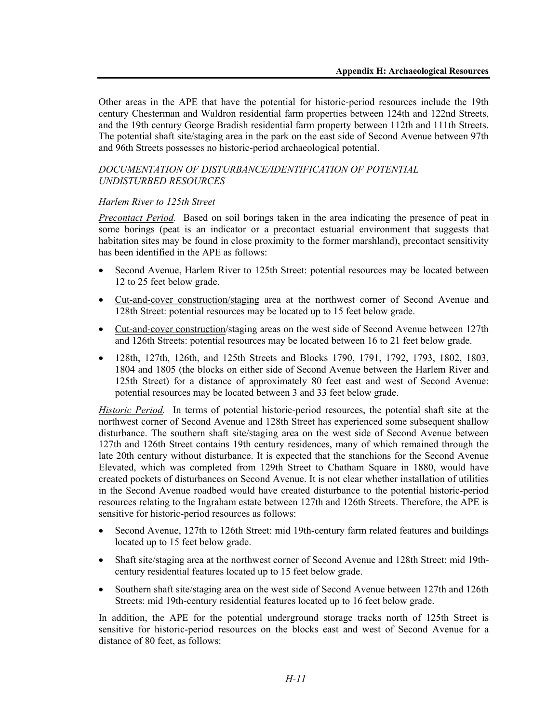Other areas in the APE that have the potential for historic-period resources include the 19th century Chesterman and Waldron residential farm properties between 124th and 122nd Streets, and the 19th century George Bradish residential farm property between 112th and 111th Streets. The potential shaft site/staging area in the park on the east side of Second Avenue between 97th and 96th Streets possesses no historic-period archaeological potential.

#### *DOCUMENTATION OF DISTURBANCE/IDENTIFICATION OF POTENTIAL UNDISTURBED RESOURCES*

## *Harlem River to 125th Street*

*Precontact Period.* Based on soil borings taken in the area indicating the presence of peat in some borings (peat is an indicator or a precontact estuarial environment that suggests that habitation sites may be found in close proximity to the former marshland), precontact sensitivity has been identified in the APE as follows:

- Second Avenue, Harlem River to 125th Street: potential resources may be located between 12 to 25 feet below grade.
- Cut-and-cover construction/staging area at the northwest corner of Second Avenue and 128th Street: potential resources may be located up to 15 feet below grade.
- Cut-and-cover construction/staging areas on the west side of Second Avenue between 127th and 126th Streets: potential resources may be located between 16 to 21 feet below grade.
- 128th, 127th, 126th, and 125th Streets and Blocks 1790, 1791, 1792, 1793, 1802, 1803, 1804 and 1805 (the blocks on either side of Second Avenue between the Harlem River and 125th Street) for a distance of approximately 80 feet east and west of Second Avenue: potential resources may be located between 3 and 33 feet below grade.

*Historic Period.* In terms of potential historic-period resources, the potential shaft site at the northwest corner of Second Avenue and 128th Street has experienced some subsequent shallow disturbance. The southern shaft site/staging area on the west side of Second Avenue between 127th and 126th Street contains 19th century residences, many of which remained through the late 20th century without disturbance. It is expected that the stanchions for the Second Avenue Elevated, which was completed from 129th Street to Chatham Square in 1880, would have created pockets of disturbances on Second Avenue. It is not clear whether installation of utilities in the Second Avenue roadbed would have created disturbance to the potential historic-period resources relating to the Ingraham estate between 127th and 126th Streets. Therefore, the APE is sensitive for historic-period resources as follows:

- Second Avenue, 127th to 126th Street: mid 19th-century farm related features and buildings located up to 15 feet below grade.
- Shaft site/staging area at the northwest corner of Second Avenue and 128th Street: mid 19thcentury residential features located up to 15 feet below grade.
- Southern shaft site/staging area on the west side of Second Avenue between 127th and 126th Streets: mid 19th-century residential features located up to 16 feet below grade.

In addition, the APE for the potential underground storage tracks north of 125th Street is sensitive for historic-period resources on the blocks east and west of Second Avenue for a distance of 80 feet, as follows: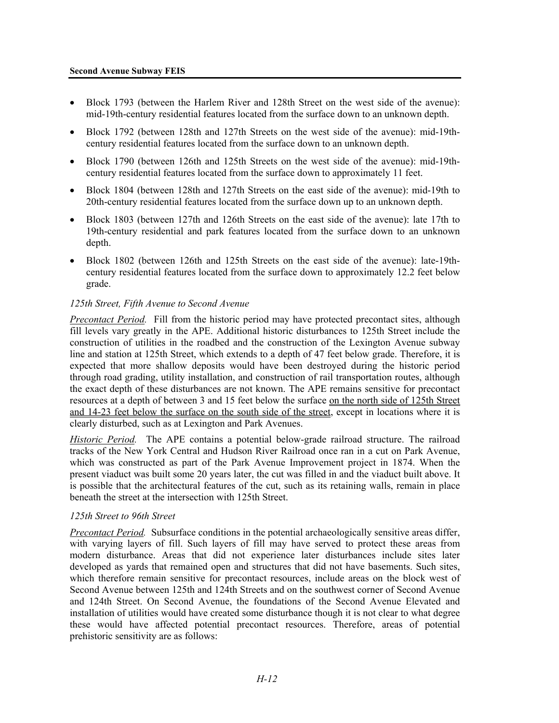- Block 1793 (between the Harlem River and 128th Street on the west side of the avenue): mid-19th-century residential features located from the surface down to an unknown depth.
- Block 1792 (between 128th and 127th Streets on the west side of the avenue): mid-19thcentury residential features located from the surface down to an unknown depth.
- Block 1790 (between 126th and 125th Streets on the west side of the avenue): mid-19thcentury residential features located from the surface down to approximately 11 feet.
- Block 1804 (between 128th and 127th Streets on the east side of the avenue): mid-19th to 20th-century residential features located from the surface down up to an unknown depth.
- Block 1803 (between 127th and 126th Streets on the east side of the avenue): late 17th to 19th-century residential and park features located from the surface down to an unknown depth.
- Block 1802 (between 126th and 125th Streets on the east side of the avenue): late-19thcentury residential features located from the surface down to approximately 12.2 feet below grade.

## *125th Street, Fifth Avenue to Second Avenue*

*Precontact Period.* Fill from the historic period may have protected precontact sites, although fill levels vary greatly in the APE. Additional historic disturbances to 125th Street include the construction of utilities in the roadbed and the construction of the Lexington Avenue subway line and station at 125th Street, which extends to a depth of 47 feet below grade. Therefore, it is expected that more shallow deposits would have been destroyed during the historic period through road grading, utility installation, and construction of rail transportation routes, although the exact depth of these disturbances are not known. The APE remains sensitive for precontact resources at a depth of between 3 and 15 feet below the surface on the north side of 125th Street and 14-23 feet below the surface on the south side of the street, except in locations where it is clearly disturbed, such as at Lexington and Park Avenues.

*Historic Period.* The APE contains a potential below-grade railroad structure. The railroad tracks of the New York Central and Hudson River Railroad once ran in a cut on Park Avenue, which was constructed as part of the Park Avenue Improvement project in 1874. When the present viaduct was built some 20 years later, the cut was filled in and the viaduct built above. It is possible that the architectural features of the cut, such as its retaining walls, remain in place beneath the street at the intersection with 125th Street.

## *125th Street to 96th Street*

*Precontact Period.* Subsurface conditions in the potential archaeologically sensitive areas differ, with varying layers of fill. Such layers of fill may have served to protect these areas from modern disturbance. Areas that did not experience later disturbances include sites later developed as yards that remained open and structures that did not have basements. Such sites, which therefore remain sensitive for precontact resources, include areas on the block west of Second Avenue between 125th and 124th Streets and on the southwest corner of Second Avenue and 124th Street. On Second Avenue, the foundations of the Second Avenue Elevated and installation of utilities would have created some disturbance though it is not clear to what degree these would have affected potential precontact resources. Therefore, areas of potential prehistoric sensitivity are as follows: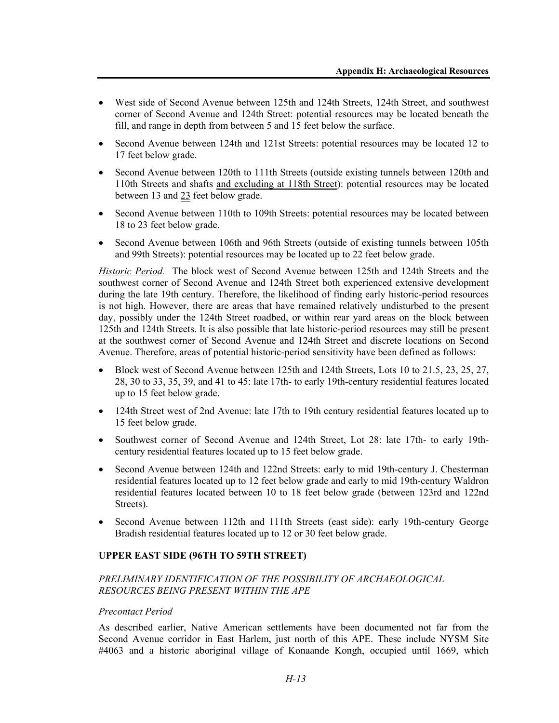- West side of Second Avenue between 125th and 124th Streets, 124th Street, and southwest corner of Second Avenue and 124th Street: potential resources may be located beneath the fill, and range in depth from between 5 and 15 feet below the surface.
- Second Avenue between 124th and 121st Streets: potential resources may be located 12 to 17 feet below grade.
- Second Avenue between 120th to 111th Streets (outside existing tunnels between 120th and 110th Streets and shafts and excluding at 118th Street): potential resources may be located between 13 and 23 feet below grade.
- Second Avenue between 110th to 109th Streets: potential resources may be located between 18 to 23 feet below grade.
- Second Avenue between 106th and 96th Streets (outside of existing tunnels between 105th and 99th Streets): potential resources may be located up to 22 feet below grade.

*Historic Period.* The block west of Second Avenue between 125th and 124th Streets and the southwest corner of Second Avenue and 124th Street both experienced extensive development during the late 19th century. Therefore, the likelihood of finding early historic-period resources is not high. However, there are areas that have remained relatively undisturbed to the present day, possibly under the 124th Street roadbed, or within rear yard areas on the block between 125th and 124th Streets. It is also possible that late historic-period resources may still be present at the southwest corner of Second Avenue and 124th Street and discrete locations on Second Avenue. Therefore, areas of potential historic-period sensitivity have been defined as follows:

- Block west of Second Avenue between 125th and 124th Streets, Lots 10 to 21.5, 23, 25, 27, 28, 30 to 33, 35, 39, and 41 to 45: late 17th- to early 19th-century residential features located up to 15 feet below grade.
- 124th Street west of 2nd Avenue: late 17th to 19th century residential features located up to 15 feet below grade.
- Southwest corner of Second Avenue and 124th Street, Lot 28: late 17th- to early 19thcentury residential features located up to 15 feet below grade.
- Second Avenue between 124th and 122nd Streets: early to mid 19th-century J. Chesterman residential features located up to 12 feet below grade and early to mid 19th-century Waldron residential features located between 10 to 18 feet below grade (between 123rd and 122nd Streets).
- Second Avenue between 112th and 111th Streets (east side): early 19th-century George Bradish residential features located up to 12 or 30 feet below grade.

## **UPPER EAST SIDE (96TH TO 59TH STREET)**

## *PRELIMINARY IDENTIFICATION OF THE POSSIBILITY OF ARCHAEOLOGICAL RESOURCES BEING PRESENT WITHIN THE APE*

#### *Precontact Period*

As described earlier, Native American settlements have been documented not far from the Second Avenue corridor in East Harlem, just north of this APE. These include NYSM Site #4063 and a historic aboriginal village of Konaande Kongh, occupied until 1669, which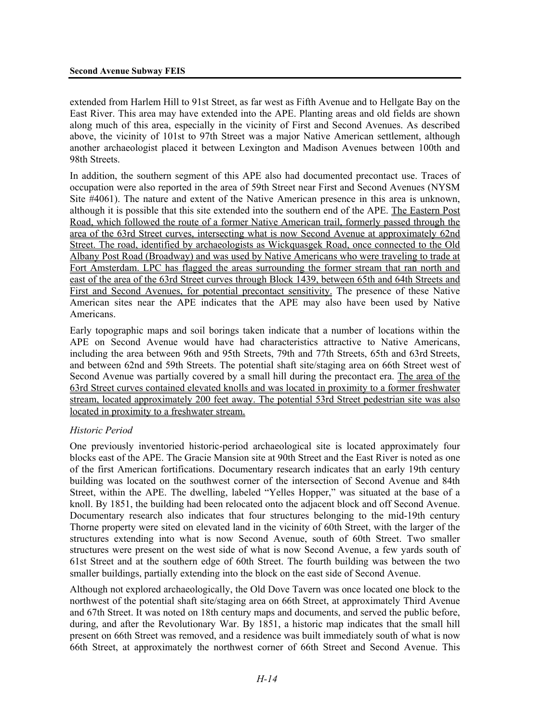#### **Second Avenue Subway FEIS**

extended from Harlem Hill to 91st Street, as far west as Fifth Avenue and to Hellgate Bay on the East River. This area may have extended into the APE. Planting areas and old fields are shown along much of this area, especially in the vicinity of First and Second Avenues. As described above, the vicinity of 101st to 97th Street was a major Native American settlement, although another archaeologist placed it between Lexington and Madison Avenues between 100th and 98th Streets.

In addition, the southern segment of this APE also had documented precontact use. Traces of occupation were also reported in the area of 59th Street near First and Second Avenues (NYSM Site #4061). The nature and extent of the Native American presence in this area is unknown, although it is possible that this site extended into the southern end of the APE. The Eastern Post Road, which followed the route of a former Native American trail, formerly passed through the area of the 63rd Street curves, intersecting what is now Second Avenue at approximately 62nd Street. The road, identified by archaeologists as Wickquasgek Road, once connected to the Old Albany Post Road (Broadway) and was used by Native Americans who were traveling to trade at Fort Amsterdam. LPC has flagged the areas surrounding the former stream that ran north and east of the area of the 63rd Street curves through Block 1439, between 65th and 64th Streets and First and Second Avenues, for potential precontact sensitivity. The presence of these Native American sites near the APE indicates that the APE may also have been used by Native Americans.

Early topographic maps and soil borings taken indicate that a number of locations within the APE on Second Avenue would have had characteristics attractive to Native Americans, including the area between 96th and 95th Streets, 79th and 77th Streets, 65th and 63rd Streets, and between 62nd and 59th Streets. The potential shaft site/staging area on 66th Street west of Second Avenue was partially covered by a small hill during the precontact era. The area of the 63rd Street curves contained elevated knolls and was located in proximity to a former freshwater stream, located approximately 200 feet away. The potential 53rd Street pedestrian site was also located in proximity to a freshwater stream.

## *Historic Period*

One previously inventoried historic-period archaeological site is located approximately four blocks east of the APE. The Gracie Mansion site at 90th Street and the East River is noted as one of the first American fortifications. Documentary research indicates that an early 19th century building was located on the southwest corner of the intersection of Second Avenue and 84th Street, within the APE. The dwelling, labeled "Yelles Hopper," was situated at the base of a knoll. By 1851, the building had been relocated onto the adjacent block and off Second Avenue. Documentary research also indicates that four structures belonging to the mid-19th century Thorne property were sited on elevated land in the vicinity of 60th Street, with the larger of the structures extending into what is now Second Avenue, south of 60th Street. Two smaller structures were present on the west side of what is now Second Avenue, a few yards south of 61st Street and at the southern edge of 60th Street. The fourth building was between the two smaller buildings, partially extending into the block on the east side of Second Avenue.

Although not explored archaeologically, the Old Dove Tavern was once located one block to the northwest of the potential shaft site/staging area on 66th Street, at approximately Third Avenue and 67th Street. It was noted on 18th century maps and documents, and served the public before, during, and after the Revolutionary War. By 1851, a historic map indicates that the small hill present on 66th Street was removed, and a residence was built immediately south of what is now 66th Street, at approximately the northwest corner of 66th Street and Second Avenue. This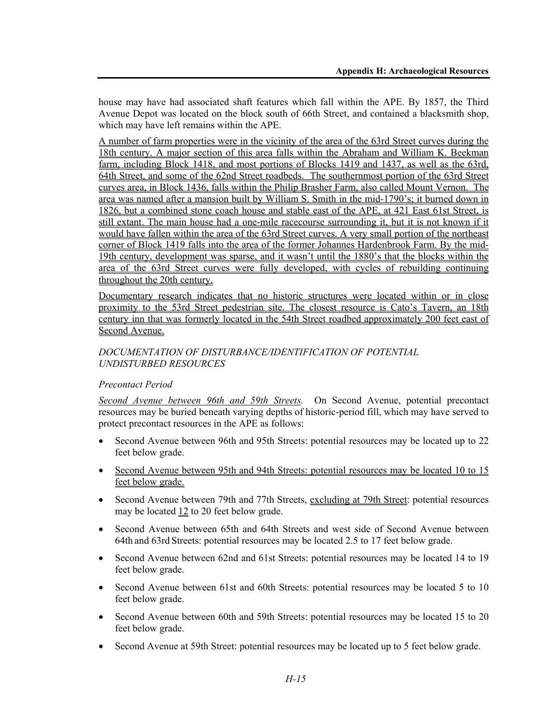house may have had associated shaft features which fall within the APE. By 1857, the Third Avenue Depot was located on the block south of 66th Street, and contained a blacksmith shop, which may have left remains within the APE.

A number of farm properties were in the vicinity of the area of the 63rd Street curves during the 18th century. A major section of this area falls within the Abraham and William K. Beekman farm, including Block 1418, and most portions of Blocks 1419 and 1437, as well as the 63rd, 64th Street, and some of the 62nd Street roadbeds. The southernmost portion of the 63rd Street curves area, in Block 1436, falls within the Philip Brasher Farm, also called Mount Vernon. The area was named after a mansion built by William S. Smith in the mid-1790's; it burned down in 1826, but a combined stone coach house and stable east of the APE, at 421 East 61st Street, is still extant. The main house had a one-mile racecourse surrounding it, but it is not known if it would have fallen within the area of the 63rd Street curves. A very small portion of the northeast corner of Block 1419 falls into the area of the former Johannes Hardenbrook Farm. By the mid-19th century, development was sparse, and it wasn't until the 1880's that the blocks within the area of the 63rd Street curves were fully developed, with cycles of rebuilding continuing throughout the 20th century.

Documentary research indicates that no historic structures were located within or in close proximity to the 53rd Street pedestrian site. The closest resource is Cato's Tavern, an 18th century inn that was formerly located in the 54th Street roadbed approximately 200 feet east of Second Avenue.

## *DOCUMENTATION OF DISTURBANCE/IDENTIFICATION OF POTENTIAL UNDISTURBED RESOURCES*

## *Precontact Period*

*Second Avenue between 96th and 59th Streets.* On Second Avenue, potential precontact resources may be buried beneath varying depths of historic-period fill, which may have served to protect precontact resources in the APE as follows:

- Second Avenue between 96th and 95th Streets: potential resources may be located up to 22 feet below grade.
- Second Avenue between 95th and 94th Streets: potential resources may be located 10 to 15 feet below grade.
- Second Avenue between 79th and 77th Streets, excluding at 79th Street: potential resources may be located  $12$  to 20 feet below grade.
- Second Avenue between 65th and 64th Streets and west side of Second Avenue between 64th and 63rd Streets: potential resources may be located 2.5 to 17 feet below grade.
- Second Avenue between 62nd and 61st Streets: potential resources may be located 14 to 19 feet below grade.
- Second Avenue between 61st and 60th Streets: potential resources may be located 5 to 10 feet below grade.
- Second Avenue between 60th and 59th Streets: potential resources may be located 15 to 20 feet below grade.
- Second Avenue at 59th Street: potential resources may be located up to 5 feet below grade.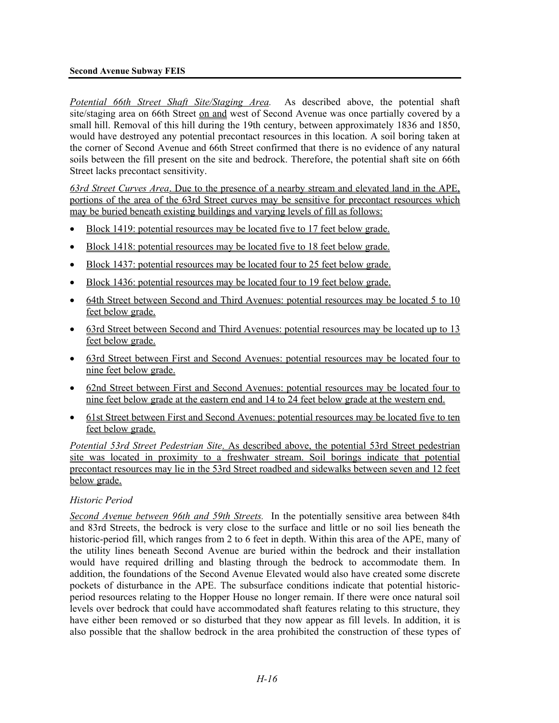#### **Second Avenue Subway FEIS**

*Potential 66th Street Shaft Site/Staging Area.* As described above, the potential shaft site/staging area on 66th Street on and west of Second Avenue was once partially covered by a small hill. Removal of this hill during the 19th century, between approximately 1836 and 1850, would have destroyed any potential precontact resources in this location. A soil boring taken at the corner of Second Avenue and 66th Street confirmed that there is no evidence of any natural soils between the fill present on the site and bedrock. Therefore, the potential shaft site on 66th Street lacks precontact sensitivity.

*63rd Street Curves Area*. Due to the presence of a nearby stream and elevated land in the APE, portions of the area of the 63rd Street curves may be sensitive for precontact resources which may be buried beneath existing buildings and varying levels of fill as follows:

- Block 1419: potential resources may be located five to 17 feet below grade.
- Block 1418: potential resources may be located five to 18 feet below grade.
- Block 1437: potential resources may be located four to 25 feet below grade.
- Block 1436: potential resources may be located four to 19 feet below grade.
- 64th Street between Second and Third Avenues: potential resources may be located 5 to 10 feet below grade.
- 63rd Street between Second and Third Avenues: potential resources may be located up to 13 feet below grade.
- 63rd Street between First and Second Avenues: potential resources may be located four to nine feet below grade.
- 62nd Street between First and Second Avenues: potential resources may be located four to nine feet below grade at the eastern end and 14 to 24 feet below grade at the western end.
- 61st Street between First and Second Avenues: potential resources may be located five to ten feet below grade.

*Potential 53rd Street Pedestrian Site*. As described above, the potential 53rd Street pedestrian site was located in proximity to a freshwater stream. Soil borings indicate that potential precontact resources may lie in the 53rd Street roadbed and sidewalks between seven and 12 feet below grade.

## *Historic Period*

*Second Avenue between 96th and 59th Streets.* In the potentially sensitive area between 84th and 83rd Streets, the bedrock is very close to the surface and little or no soil lies beneath the historic-period fill, which ranges from 2 to 6 feet in depth. Within this area of the APE, many of the utility lines beneath Second Avenue are buried within the bedrock and their installation would have required drilling and blasting through the bedrock to accommodate them. In addition, the foundations of the Second Avenue Elevated would also have created some discrete pockets of disturbance in the APE. The subsurface conditions indicate that potential historicperiod resources relating to the Hopper House no longer remain. If there were once natural soil levels over bedrock that could have accommodated shaft features relating to this structure, they have either been removed or so disturbed that they now appear as fill levels. In addition, it is also possible that the shallow bedrock in the area prohibited the construction of these types of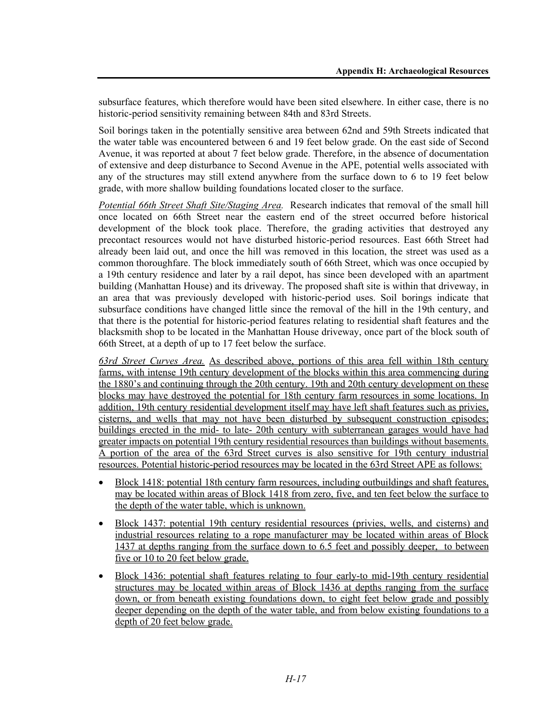subsurface features, which therefore would have been sited elsewhere. In either case, there is no historic-period sensitivity remaining between 84th and 83rd Streets.

Soil borings taken in the potentially sensitive area between 62nd and 59th Streets indicated that the water table was encountered between 6 and 19 feet below grade. On the east side of Second Avenue, it was reported at about 7 feet below grade. Therefore, in the absence of documentation of extensive and deep disturbance to Second Avenue in the APE, potential wells associated with any of the structures may still extend anywhere from the surface down to 6 to 19 feet below grade, with more shallow building foundations located closer to the surface.

*Potential 66th Street Shaft Site/Staging Area.* Research indicates that removal of the small hill once located on 66th Street near the eastern end of the street occurred before historical development of the block took place. Therefore, the grading activities that destroyed any precontact resources would not have disturbed historic-period resources. East 66th Street had already been laid out, and once the hill was removed in this location, the street was used as a common thoroughfare. The block immediately south of 66th Street, which was once occupied by a 19th century residence and later by a rail depot, has since been developed with an apartment building (Manhattan House) and its driveway. The proposed shaft site is within that driveway, in an area that was previously developed with historic-period uses. Soil borings indicate that subsurface conditions have changed little since the removal of the hill in the 19th century, and that there is the potential for historic-period features relating to residential shaft features and the blacksmith shop to be located in the Manhattan House driveway, once part of the block south of 66th Street, at a depth of up to 17 feet below the surface.

*63rd Street Curves Area.* As described above, portions of this area fell within 18th century farms, with intense 19th century development of the blocks within this area commencing during the 1880's and continuing through the 20th century. 19th and 20th century development on these blocks may have destroyed the potential for 18th century farm resources in some locations. In addition, 19th century residential development itself may have left shaft features such as privies, cisterns, and wells that may not have been disturbed by subsequent construction episodes; buildings erected in the mid- to late- 20th century with subterranean garages would have had greater impacts on potential 19th century residential resources than buildings without basements. A portion of the area of the 63rd Street curves is also sensitive for 19th century industrial resources. Potential historic-period resources may be located in the 63rd Street APE as follows:

- Block 1418: potential 18th century farm resources, including outbuildings and shaft features, may be located within areas of Block 1418 from zero, five, and ten feet below the surface to the depth of the water table, which is unknown.
- Block 1437: potential 19th century residential resources (privies, wells, and cisterns) and industrial resources relating to a rope manufacturer may be located within areas of Block 1437 at depths ranging from the surface down to 6.5 feet and possibly deeper, to between five or 10 to 20 feet below grade.
- Block 1436: potential shaft features relating to four early-to mid-19th century residential structures may be located within areas of Block 1436 at depths ranging from the surface down, or from beneath existing foundations down, to eight feet below grade and possibly deeper depending on the depth of the water table, and from below existing foundations to a depth of 20 feet below grade.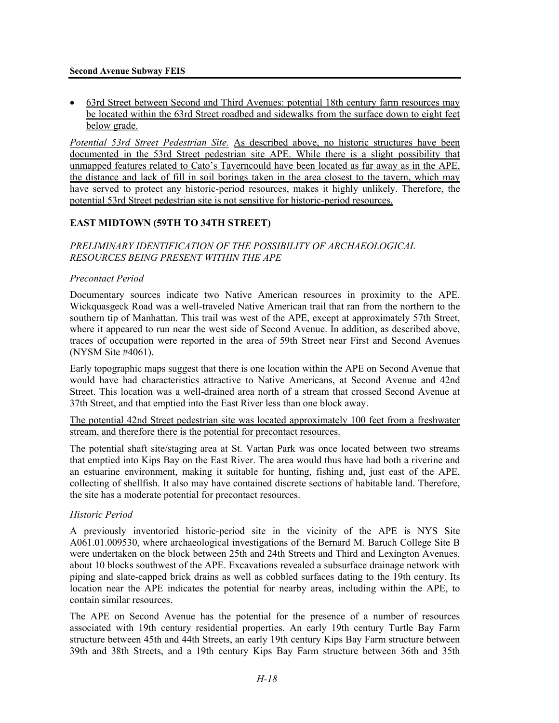#### **Second Avenue Subway FEIS**

• 63rd Street between Second and Third Avenues: potential 18th century farm resources may be located within the 63rd Street roadbed and sidewalks from the surface down to eight feet below grade.

*Potential 53rd Street Pedestrian Site.* As described above, no historic structures have been documented in the 53rd Street pedestrian site APE. While there is a slight possibility that unmapped features related to Cato's Taverncould have been located as far away as in the APE, the distance and lack of fill in soil borings taken in the area closest to the tavern, which may have served to protect any historic-period resources, makes it highly unlikely. Therefore, the potential 53rd Street pedestrian site is not sensitive for historic-period resources.

# **EAST MIDTOWN (59TH TO 34TH STREET)**

*PRELIMINARY IDENTIFICATION OF THE POSSIBILITY OF ARCHAEOLOGICAL RESOURCES BEING PRESENT WITHIN THE APE* 

## *Precontact Period*

Documentary sources indicate two Native American resources in proximity to the APE. Wickquasgeck Road was a well-traveled Native American trail that ran from the northern to the southern tip of Manhattan. This trail was west of the APE, except at approximately 57th Street, where it appeared to run near the west side of Second Avenue. In addition, as described above, traces of occupation were reported in the area of 59th Street near First and Second Avenues (NYSM Site #4061).

Early topographic maps suggest that there is one location within the APE on Second Avenue that would have had characteristics attractive to Native Americans, at Second Avenue and 42nd Street. This location was a well-drained area north of a stream that crossed Second Avenue at 37th Street, and that emptied into the East River less than one block away.

The potential 42nd Street pedestrian site was located approximately 100 feet from a freshwater stream, and therefore there is the potential for precontact resources.

The potential shaft site/staging area at St. Vartan Park was once located between two streams that emptied into Kips Bay on the East River. The area would thus have had both a riverine and an estuarine environment, making it suitable for hunting, fishing and, just east of the APE, collecting of shellfish. It also may have contained discrete sections of habitable land. Therefore, the site has a moderate potential for precontact resources.

## *Historic Period*

A previously inventoried historic-period site in the vicinity of the APE is NYS Site A061.01.009530, where archaeological investigations of the Bernard M. Baruch College Site B were undertaken on the block between 25th and 24th Streets and Third and Lexington Avenues, about 10 blocks southwest of the APE. Excavations revealed a subsurface drainage network with piping and slate-capped brick drains as well as cobbled surfaces dating to the 19th century. Its location near the APE indicates the potential for nearby areas, including within the APE, to contain similar resources.

The APE on Second Avenue has the potential for the presence of a number of resources associated with 19th century residential properties. An early 19th century Turtle Bay Farm structure between 45th and 44th Streets, an early 19th century Kips Bay Farm structure between 39th and 38th Streets, and a 19th century Kips Bay Farm structure between 36th and 35th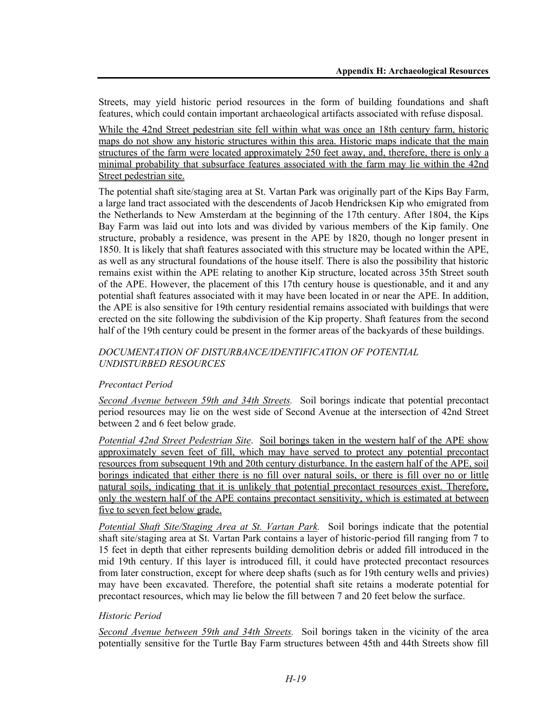Streets, may yield historic period resources in the form of building foundations and shaft features, which could contain important archaeological artifacts associated with refuse disposal.

While the 42nd Street pedestrian site fell within what was once an 18th century farm, historic maps do not show any historic structures within this area. Historic maps indicate that the main structures of the farm were located approximately 250 feet away, and, therefore, there is only a minimal probability that subsurface features associated with the farm may lie within the 42nd Street pedestrian site.

The potential shaft site/staging area at St. Vartan Park was originally part of the Kips Bay Farm, a large land tract associated with the descendents of Jacob Hendricksen Kip who emigrated from the Netherlands to New Amsterdam at the beginning of the 17th century. After 1804, the Kips Bay Farm was laid out into lots and was divided by various members of the Kip family. One structure, probably a residence, was present in the APE by 1820, though no longer present in 1850. It is likely that shaft features associated with this structure may be located within the APE, as well as any structural foundations of the house itself. There is also the possibility that historic remains exist within the APE relating to another Kip structure, located across 35th Street south of the APE. However, the placement of this 17th century house is questionable, and it and any potential shaft features associated with it may have been located in or near the APE. In addition, the APE is also sensitive for 19th century residential remains associated with buildings that were erected on the site following the subdivision of the Kip property. Shaft features from the second half of the 19th century could be present in the former areas of the backyards of these buildings.

# *DOCUMENTATION OF DISTURBANCE/IDENTIFICATION OF POTENTIAL UNDISTURBED RESOURCES*

# *Precontact Period*

*Second Avenue between 59th and 34th Streets.* Soil borings indicate that potential precontact period resources may lie on the west side of Second Avenue at the intersection of 42nd Street between 2 and 6 feet below grade.

*Potential 42nd Street Pedestrian Site*. Soil borings taken in the western half of the APE show approximately seven feet of fill, which may have served to protect any potential precontact resources from subsequent 19th and 20th century disturbance. In the eastern half of the APE, soil borings indicated that either there is no fill over natural soils, or there is fill over no or little natural soils, indicating that it is unlikely that potential precontact resources exist. Therefore, only the western half of the APE contains precontact sensitivity, which is estimated at between five to seven feet below grade.

*Potential Shaft Site/Staging Area at St. Vartan Park.* Soil borings indicate that the potential shaft site/staging area at St. Vartan Park contains a layer of historic-period fill ranging from 7 to 15 feet in depth that either represents building demolition debris or added fill introduced in the mid 19th century. If this layer is introduced fill, it could have protected precontact resources from later construction, except for where deep shafts (such as for 19th century wells and privies) may have been excavated. Therefore, the potential shaft site retains a moderate potential for precontact resources, which may lie below the fill between 7 and 20 feet below the surface.

## *Historic Period*

*Second Avenue between 59th and 34th Streets.* Soil borings taken in the vicinity of the area potentially sensitive for the Turtle Bay Farm structures between 45th and 44th Streets show fill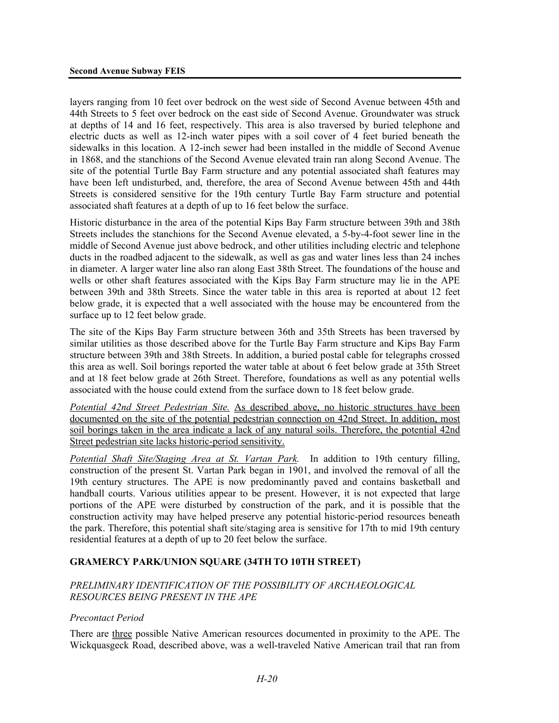layers ranging from 10 feet over bedrock on the west side of Second Avenue between 45th and 44th Streets to 5 feet over bedrock on the east side of Second Avenue. Groundwater was struck at depths of 14 and 16 feet, respectively. This area is also traversed by buried telephone and electric ducts as well as 12-inch water pipes with a soil cover of 4 feet buried beneath the sidewalks in this location. A 12-inch sewer had been installed in the middle of Second Avenue in 1868, and the stanchions of the Second Avenue elevated train ran along Second Avenue. The site of the potential Turtle Bay Farm structure and any potential associated shaft features may have been left undisturbed, and, therefore, the area of Second Avenue between 45th and 44th Streets is considered sensitive for the 19th century Turtle Bay Farm structure and potential associated shaft features at a depth of up to 16 feet below the surface.

Historic disturbance in the area of the potential Kips Bay Farm structure between 39th and 38th Streets includes the stanchions for the Second Avenue elevated, a 5-by-4-foot sewer line in the middle of Second Avenue just above bedrock, and other utilities including electric and telephone ducts in the roadbed adjacent to the sidewalk, as well as gas and water lines less than 24 inches in diameter. A larger water line also ran along East 38th Street. The foundations of the house and wells or other shaft features associated with the Kips Bay Farm structure may lie in the APE between 39th and 38th Streets. Since the water table in this area is reported at about 12 feet below grade, it is expected that a well associated with the house may be encountered from the surface up to 12 feet below grade.

The site of the Kips Bay Farm structure between 36th and 35th Streets has been traversed by similar utilities as those described above for the Turtle Bay Farm structure and Kips Bay Farm structure between 39th and 38th Streets. In addition, a buried postal cable for telegraphs crossed this area as well. Soil borings reported the water table at about 6 feet below grade at 35th Street and at 18 feet below grade at 26th Street. Therefore, foundations as well as any potential wells associated with the house could extend from the surface down to 18 feet below grade.

*Potential 42nd Street Pedestrian Site.* As described above, no historic structures have been documented on the site of the potential pedestrian connection on 42nd Street. In addition, most soil borings taken in the area indicate a lack of any natural soils. Therefore, the potential 42nd Street pedestrian site lacks historic-period sensitivity.

*Potential Shaft Site/Staging Area at St. Vartan Park.* In addition to 19th century filling, construction of the present St. Vartan Park began in 1901, and involved the removal of all the 19th century structures. The APE is now predominantly paved and contains basketball and handball courts. Various utilities appear to be present. However, it is not expected that large portions of the APE were disturbed by construction of the park, and it is possible that the construction activity may have helped preserve any potential historic-period resources beneath the park. Therefore, this potential shaft site/staging area is sensitive for 17th to mid 19th century residential features at a depth of up to 20 feet below the surface.

# **GRAMERCY PARK/UNION SQUARE (34TH TO 10TH STREET)**

## *PRELIMINARY IDENTIFICATION OF THE POSSIBILITY OF ARCHAEOLOGICAL RESOURCES BEING PRESENT IN THE APE*

## *Precontact Period*

There are three possible Native American resources documented in proximity to the APE. The Wickquasgeck Road, described above, was a well-traveled Native American trail that ran from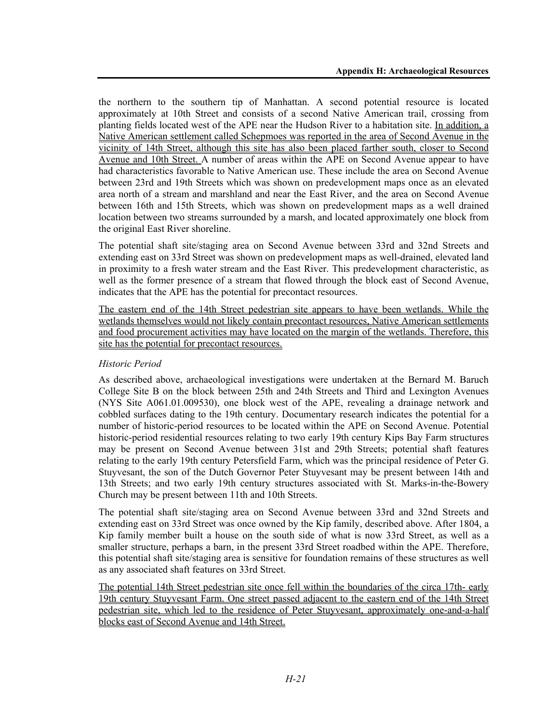the northern to the southern tip of Manhattan. A second potential resource is located approximately at 10th Street and consists of a second Native American trail, crossing from planting fields located west of the APE near the Hudson River to a habitation site. In addition, a Native American settlement called Schepmoes was reported in the area of Second Avenue in the vicinity of 14th Street, although this site has also been placed farther south, closer to Second Avenue and 10th Street. A number of areas within the APE on Second Avenue appear to have had characteristics favorable to Native American use. These include the area on Second Avenue between 23rd and 19th Streets which was shown on predevelopment maps once as an elevated area north of a stream and marshland and near the East River, and the area on Second Avenue between 16th and 15th Streets, which was shown on predevelopment maps as a well drained location between two streams surrounded by a marsh, and located approximately one block from the original East River shoreline.

The potential shaft site/staging area on Second Avenue between 33rd and 32nd Streets and extending east on 33rd Street was shown on predevelopment maps as well-drained, elevated land in proximity to a fresh water stream and the East River. This predevelopment characteristic, as well as the former presence of a stream that flowed through the block east of Second Avenue, indicates that the APE has the potential for precontact resources.

The eastern end of the 14th Street pedestrian site appears to have been wetlands. While the wetlands themselves would not likely contain precontact resources, Native American settlements and food procurement activities may have located on the margin of the wetlands. Therefore, this site has the potential for precontact resources.

## *Historic Period*

As described above, archaeological investigations were undertaken at the Bernard M. Baruch College Site B on the block between 25th and 24th Streets and Third and Lexington Avenues (NYS Site A061.01.009530), one block west of the APE, revealing a drainage network and cobbled surfaces dating to the 19th century. Documentary research indicates the potential for a number of historic-period resources to be located within the APE on Second Avenue. Potential historic-period residential resources relating to two early 19th century Kips Bay Farm structures may be present on Second Avenue between 31st and 29th Streets; potential shaft features relating to the early 19th century Petersfield Farm, which was the principal residence of Peter G. Stuyvesant, the son of the Dutch Governor Peter Stuyvesant may be present between 14th and 13th Streets; and two early 19th century structures associated with St. Marks-in-the-Bowery Church may be present between 11th and 10th Streets.

The potential shaft site/staging area on Second Avenue between 33rd and 32nd Streets and extending east on 33rd Street was once owned by the Kip family, described above. After 1804, a Kip family member built a house on the south side of what is now 33rd Street, as well as a smaller structure, perhaps a barn, in the present 33rd Street roadbed within the APE. Therefore, this potential shaft site/staging area is sensitive for foundation remains of these structures as well as any associated shaft features on 33rd Street.

The potential 14th Street pedestrian site once fell within the boundaries of the circa 17th- early 19th century Stuyvesant Farm. One street passed adjacent to the eastern end of the 14th Street pedestrian site, which led to the residence of Peter Stuyvesant, approximately one-and-a-half blocks east of Second Avenue and 14th Street.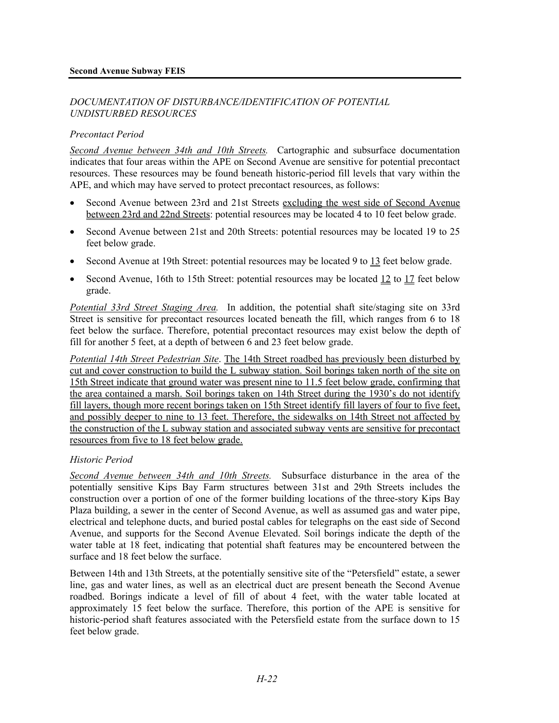## *DOCUMENTATION OF DISTURBANCE/IDENTIFICATION OF POTENTIAL UNDISTURBED RESOURCES*

## *Precontact Period*

*Second Avenue between 34th and 10th Streets.* Cartographic and subsurface documentation indicates that four areas within the APE on Second Avenue are sensitive for potential precontact resources. These resources may be found beneath historic-period fill levels that vary within the APE, and which may have served to protect precontact resources, as follows:

- Second Avenue between 23rd and 21st Streets excluding the west side of Second Avenue between 23rd and 22nd Streets: potential resources may be located 4 to 10 feet below grade.
- Second Avenue between 21st and 20th Streets: potential resources may be located 19 to 25 feet below grade.
- Second Avenue at 19th Street: potential resources may be located 9 to 13 feet below grade.
- Second Avenue, 16th to 15th Street: potential resources may be located 12 to 17 feet below grade.

*Potential 33rd Street Staging Area.* In addition, the potential shaft site/staging site on 33rd Street is sensitive for precontact resources located beneath the fill, which ranges from 6 to 18 feet below the surface. Therefore, potential precontact resources may exist below the depth of fill for another 5 feet, at a depth of between 6 and 23 feet below grade.

*Potential 14th Street Pedestrian Site*. The 14th Street roadbed has previously been disturbed by cut and cover construction to build the L subway station. Soil borings taken north of the site on 15th Street indicate that ground water was present nine to 11.5 feet below grade, confirming that the area contained a marsh. Soil borings taken on 14th Street during the 1930's do not identify fill layers, though more recent borings taken on 15th Street identify fill layers of four to five feet, and possibly deeper to nine to 13 feet. Therefore, the sidewalks on 14th Street not affected by the construction of the L subway station and associated subway vents are sensitive for precontact resources from five to 18 feet below grade.

## *Historic Period*

*Second Avenue between 34th and 10th Streets.* Subsurface disturbance in the area of the potentially sensitive Kips Bay Farm structures between 31st and 29th Streets includes the construction over a portion of one of the former building locations of the three-story Kips Bay Plaza building, a sewer in the center of Second Avenue, as well as assumed gas and water pipe, electrical and telephone ducts, and buried postal cables for telegraphs on the east side of Second Avenue, and supports for the Second Avenue Elevated. Soil borings indicate the depth of the water table at 18 feet, indicating that potential shaft features may be encountered between the surface and 18 feet below the surface.

Between 14th and 13th Streets, at the potentially sensitive site of the "Petersfield" estate, a sewer line, gas and water lines, as well as an electrical duct are present beneath the Second Avenue roadbed. Borings indicate a level of fill of about 4 feet, with the water table located at approximately 15 feet below the surface. Therefore, this portion of the APE is sensitive for historic-period shaft features associated with the Petersfield estate from the surface down to 15 feet below grade.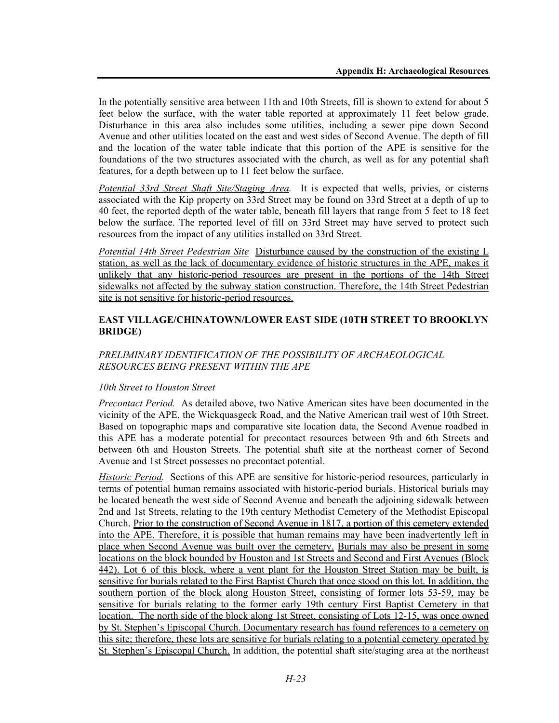In the potentially sensitive area between 11th and 10th Streets, fill is shown to extend for about 5 feet below the surface, with the water table reported at approximately 11 feet below grade. Disturbance in this area also includes some utilities, including a sewer pipe down Second Avenue and other utilities located on the east and west sides of Second Avenue. The depth of fill and the location of the water table indicate that this portion of the APE is sensitive for the foundations of the two structures associated with the church, as well as for any potential shaft features, for a depth between up to 11 feet below the surface.

*Potential 33rd Street Shaft Site/Staging Area.* It is expected that wells, privies, or cisterns associated with the Kip property on 33rd Street may be found on 33rd Street at a depth of up to 40 feet, the reported depth of the water table, beneath fill layers that range from 5 feet to 18 feet below the surface. The reported level of fill on 33rd Street may have served to protect such resources from the impact of any utilities installed on 33rd Street.

*Potential 14th Street Pedestrian Site* Disturbance caused by the construction of the existing L station, as well as the lack of documentary evidence of historic structures in the APE, makes it unlikely that any historic-period resources are present in the portions of the 14th Street sidewalks not affected by the subway station construction. Therefore, the 14th Street Pedestrian site is not sensitive for historic-period resources.

## **EAST VILLAGE/CHINATOWN/LOWER EAST SIDE (10TH STREET TO BROOKLYN BRIDGE)**

# *PRELIMINARY IDENTIFICATION OF THE POSSIBILITY OF ARCHAEOLOGICAL RESOURCES BEING PRESENT WITHIN THE APE*

# *10th Street to Houston Street*

*Precontact Period.* As detailed above, two Native American sites have been documented in the vicinity of the APE, the Wickquasgeck Road, and the Native American trail west of 10th Street. Based on topographic maps and comparative site location data, the Second Avenue roadbed in this APE has a moderate potential for precontact resources between 9th and 6th Streets and between 6th and Houston Streets. The potential shaft site at the northeast corner of Second Avenue and 1st Street possesses no precontact potential.

*Historic Period.* Sections of this APE are sensitive for historic-period resources, particularly in terms of potential human remains associated with historic-period burials. Historical burials may be located beneath the west side of Second Avenue and beneath the adjoining sidewalk between 2nd and 1st Streets, relating to the 19th century Methodist Cemetery of the Methodist Episcopal Church. Prior to the construction of Second Avenue in 1817, a portion of this cemetery extended into the APE. Therefore, it is possible that human remains may have been inadvertently left in place when Second Avenue was built over the cemetery. Burials may also be present in some locations on the block bounded by Houston and 1st Streets and Second and First Avenues (Block 442). Lot 6 of this block, where a vent plant for the Houston Street Station may be built, is sensitive for burials related to the First Baptist Church that once stood on this lot. In addition, the southern portion of the block along Houston Street, consisting of former lots 53-59, may be sensitive for burials relating to the former early 19th century First Baptist Cemetery in that location. The north side of the block along 1st Street, consisting of Lots 12-15, was once owned by St. Stephen's Episcopal Church. Documentary research has found references to a cemetery on this site; therefore, these lots are sensitive for burials relating to a potential cemetery operated by St. Stephen's Episcopal Church. In addition, the potential shaft site/staging area at the northeast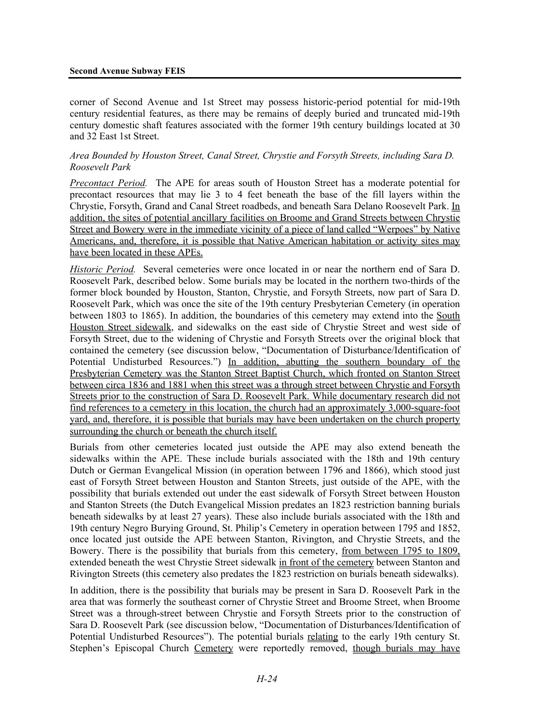#### **Second Avenue Subway FEIS**

corner of Second Avenue and 1st Street may possess historic-period potential for mid-19th century residential features, as there may be remains of deeply buried and truncated mid-19th century domestic shaft features associated with the former 19th century buildings located at 30 and 32 East 1st Street.

## *Area Bounded by Houston Street, Canal Street, Chrystie and Forsyth Streets, including Sara D. Roosevelt Park*

*Precontact Period.* The APE for areas south of Houston Street has a moderate potential for precontact resources that may lie 3 to 4 feet beneath the base of the fill layers within the Chrystie, Forsyth, Grand and Canal Street roadbeds, and beneath Sara Delano Roosevelt Park. In addition, the sites of potential ancillary facilities on Broome and Grand Streets between Chrystie Street and Bowery were in the immediate vicinity of a piece of land called "Werpoes" by Native Americans, and, therefore, it is possible that Native American habitation or activity sites may have been located in these APEs.

*Historic Period.* Several cemeteries were once located in or near the northern end of Sara D. Roosevelt Park, described below. Some burials may be located in the northern two-thirds of the former block bounded by Houston, Stanton, Chrystie, and Forsyth Streets, now part of Sara D. Roosevelt Park, which was once the site of the 19th century Presbyterian Cemetery (in operation between 1803 to 1865). In addition, the boundaries of this cemetery may extend into the South Houston Street sidewalk, and sidewalks on the east side of Chrystie Street and west side of Forsyth Street, due to the widening of Chrystie and Forsyth Streets over the original block that contained the cemetery (see discussion below, "Documentation of Disturbance/Identification of Potential Undisturbed Resources.") In addition, abutting the southern boundary of the Presbyterian Cemetery was the Stanton Street Baptist Church, which fronted on Stanton Street between circa 1836 and 1881 when this street was a through street between Chrystie and Forsyth Streets prior to the construction of Sara D. Roosevelt Park. While documentary research did not find references to a cemetery in this location, the church had an approximately 3,000-square-foot yard, and, therefore, it is possible that burials may have been undertaken on the church property surrounding the church or beneath the church itself.

Burials from other cemeteries located just outside the APE may also extend beneath the sidewalks within the APE. These include burials associated with the 18th and 19th century Dutch or German Evangelical Mission (in operation between 1796 and 1866), which stood just east of Forsyth Street between Houston and Stanton Streets, just outside of the APE, with the possibility that burials extended out under the east sidewalk of Forsyth Street between Houston and Stanton Streets (the Dutch Evangelical Mission predates an 1823 restriction banning burials beneath sidewalks by at least 27 years). These also include burials associated with the 18th and 19th century Negro Burying Ground, St. Philip's Cemetery in operation between 1795 and 1852, once located just outside the APE between Stanton, Rivington, and Chrystie Streets, and the Bowery. There is the possibility that burials from this cemetery, from between 1795 to 1809, extended beneath the west Chrystie Street sidewalk in front of the cemetery between Stanton and Rivington Streets (this cemetery also predates the 1823 restriction on burials beneath sidewalks).

In addition, there is the possibility that burials may be present in Sara D. Roosevelt Park in the area that was formerly the southeast corner of Chrystie Street and Broome Street, when Broome Street was a through-street between Chrystie and Forsyth Streets prior to the construction of Sara D. Roosevelt Park (see discussion below, "Documentation of Disturbances/Identification of Potential Undisturbed Resources"). The potential burials relating to the early 19th century St. Stephen's Episcopal Church Cemetery were reportedly removed, though burials may have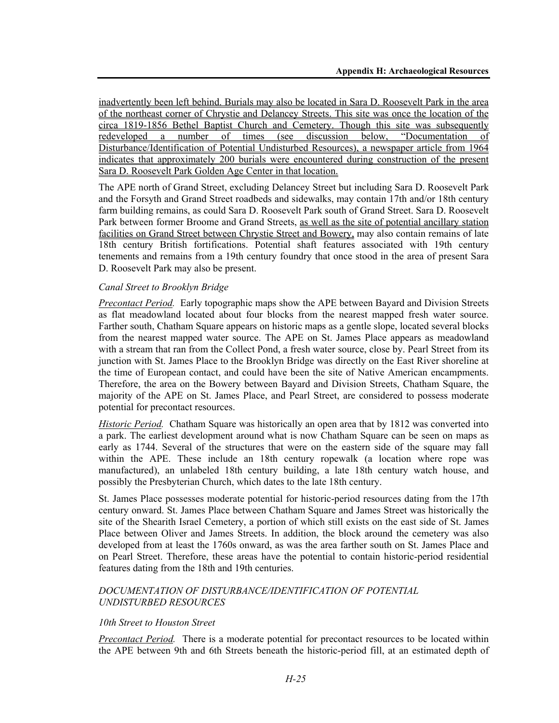inadvertently been left behind. Burials may also be located in Sara D. Roosevelt Park in the area of the northeast corner of Chrystie and Delancey Streets. This site was once the location of the circa 1819-1856 Bethel Baptist Church and Cemetery. Though this site was subsequently redeveloped a number of times (see discussion below, "Documentation of Disturbance/Identification of Potential Undisturbed Resources), a newspaper article from 1964 indicates that approximately 200 burials were encountered during construction of the present Sara D. Roosevelt Park Golden Age Center in that location.

The APE north of Grand Street, excluding Delancey Street but including Sara D. Roosevelt Park and the Forsyth and Grand Street roadbeds and sidewalks, may contain 17th and/or 18th century farm building remains, as could Sara D. Roosevelt Park south of Grand Street. Sara D. Roosevelt Park between former Broome and Grand Streets, as well as the site of potential ancillary station facilities on Grand Street between Chrystie Street and Bowery, may also contain remains of late 18th century British fortifications. Potential shaft features associated with 19th century tenements and remains from a 19th century foundry that once stood in the area of present Sara D. Roosevelt Park may also be present.

## *Canal Street to Brooklyn Bridge*

*Precontact Period.* Early topographic maps show the APE between Bayard and Division Streets as flat meadowland located about four blocks from the nearest mapped fresh water source. Farther south, Chatham Square appears on historic maps as a gentle slope, located several blocks from the nearest mapped water source. The APE on St. James Place appears as meadowland with a stream that ran from the Collect Pond, a fresh water source, close by. Pearl Street from its junction with St. James Place to the Brooklyn Bridge was directly on the East River shoreline at the time of European contact, and could have been the site of Native American encampments. Therefore, the area on the Bowery between Bayard and Division Streets, Chatham Square, the majority of the APE on St. James Place, and Pearl Street, are considered to possess moderate potential for precontact resources.

*Historic Period.* Chatham Square was historically an open area that by 1812 was converted into a park. The earliest development around what is now Chatham Square can be seen on maps as early as 1744. Several of the structures that were on the eastern side of the square may fall within the APE. These include an 18th century ropewalk (a location where rope was manufactured), an unlabeled 18th century building, a late 18th century watch house, and possibly the Presbyterian Church, which dates to the late 18th century.

St. James Place possesses moderate potential for historic-period resources dating from the 17th century onward. St. James Place between Chatham Square and James Street was historically the site of the Shearith Israel Cemetery, a portion of which still exists on the east side of St. James Place between Oliver and James Streets. In addition, the block around the cemetery was also developed from at least the 1760s onward, as was the area farther south on St. James Place and on Pearl Street. Therefore, these areas have the potential to contain historic-period residential features dating from the 18th and 19th centuries.

## *DOCUMENTATION OF DISTURBANCE/IDENTIFICATION OF POTENTIAL UNDISTURBED RESOURCES*

#### *10th Street to Houston Street*

*Precontact Period.* There is a moderate potential for precontact resources to be located within the APE between 9th and 6th Streets beneath the historic-period fill, at an estimated depth of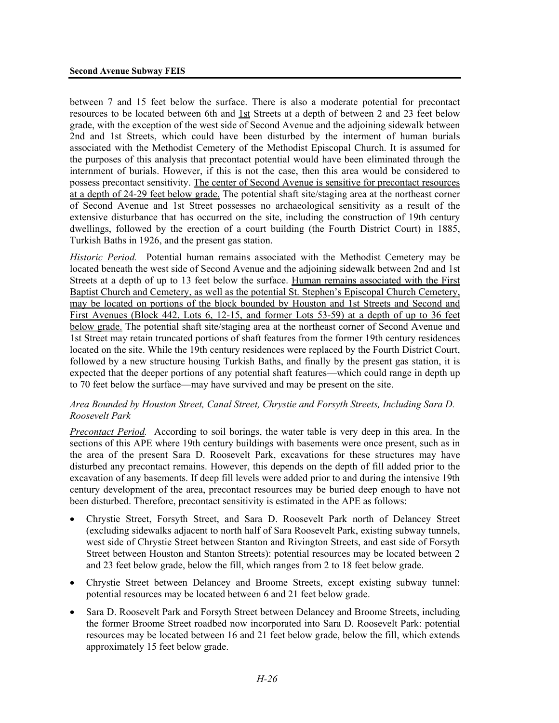between 7 and 15 feet below the surface. There is also a moderate potential for precontact resources to be located between 6th and 1st Streets at a depth of between 2 and 23 feet below grade, with the exception of the west side of Second Avenue and the adjoining sidewalk between 2nd and 1st Streets, which could have been disturbed by the interment of human burials associated with the Methodist Cemetery of the Methodist Episcopal Church. It is assumed for the purposes of this analysis that precontact potential would have been eliminated through the internment of burials. However, if this is not the case, then this area would be considered to possess precontact sensitivity. The center of Second Avenue is sensitive for precontact resources at a depth of 24-29 feet below grade. The potential shaft site/staging area at the northeast corner of Second Avenue and 1st Street possesses no archaeological sensitivity as a result of the extensive disturbance that has occurred on the site, including the construction of 19th century dwellings, followed by the erection of a court building (the Fourth District Court) in 1885, Turkish Baths in 1926, and the present gas station.

*Historic Period.* Potential human remains associated with the Methodist Cemetery may be located beneath the west side of Second Avenue and the adjoining sidewalk between 2nd and 1st Streets at a depth of up to 13 feet below the surface. Human remains associated with the First Baptist Church and Cemetery, as well as the potential St. Stephen's Episcopal Church Cemetery, may be located on portions of the block bounded by Houston and 1st Streets and Second and First Avenues (Block 442, Lots 6, 12-15, and former Lots 53-59) at a depth of up to 36 feet below grade. The potential shaft site/staging area at the northeast corner of Second Avenue and 1st Street may retain truncated portions of shaft features from the former 19th century residences located on the site. While the 19th century residences were replaced by the Fourth District Court, followed by a new structure housing Turkish Baths, and finally by the present gas station, it is expected that the deeper portions of any potential shaft features—which could range in depth up to 70 feet below the surface—may have survived and may be present on the site.

## *Area Bounded by Houston Street, Canal Street, Chrystie and Forsyth Streets, Including Sara D. Roosevelt Park*

*Precontact Period.* According to soil borings, the water table is very deep in this area. In the sections of this APE where 19th century buildings with basements were once present, such as in the area of the present Sara D. Roosevelt Park, excavations for these structures may have disturbed any precontact remains. However, this depends on the depth of fill added prior to the excavation of any basements. If deep fill levels were added prior to and during the intensive 19th century development of the area, precontact resources may be buried deep enough to have not been disturbed. Therefore, precontact sensitivity is estimated in the APE as follows:

- Chrystie Street, Forsyth Street, and Sara D. Roosevelt Park north of Delancey Street (excluding sidewalks adjacent to north half of Sara Roosevelt Park, existing subway tunnels, west side of Chrystie Street between Stanton and Rivington Streets, and east side of Forsyth Street between Houston and Stanton Streets): potential resources may be located between 2 and 23 feet below grade, below the fill, which ranges from 2 to 18 feet below grade.
- Chrystie Street between Delancey and Broome Streets, except existing subway tunnel: potential resources may be located between 6 and 21 feet below grade.
- Sara D. Roosevelt Park and Forsyth Street between Delancey and Broome Streets, including the former Broome Street roadbed now incorporated into Sara D. Roosevelt Park: potential resources may be located between 16 and 21 feet below grade, below the fill, which extends approximately 15 feet below grade.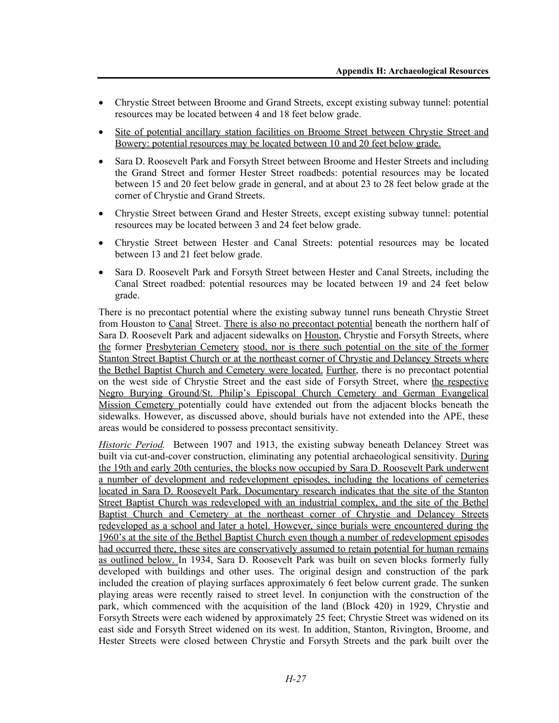- Chrystie Street between Broome and Grand Streets, except existing subway tunnel: potential resources may be located between 4 and 18 feet below grade.
- Site of potential ancillary station facilities on Broome Street between Chrystie Street and Bowery: potential resources may be located between 10 and 20 feet below grade.
- Sara D. Roosevelt Park and Forsyth Street between Broome and Hester Streets and including the Grand Street and former Hester Street roadbeds: potential resources may be located between 15 and 20 feet below grade in general, and at about 23 to 28 feet below grade at the corner of Chrystie and Grand Streets.
- Chrystie Street between Grand and Hester Streets, except existing subway tunnel: potential resources may be located between 3 and 24 feet below grade.
- Chrystie Street between Hester and Canal Streets: potential resources may be located between 13 and 21 feet below grade.
- Sara D. Roosevelt Park and Forsyth Street between Hester and Canal Streets, including the Canal Street roadbed: potential resources may be located between 19 and 24 feet below grade.

There is no precontact potential where the existing subway tunnel runs beneath Chrystie Street from Houston to Canal Street. There is also no precontact potential beneath the northern half of Sara D. Roosevelt Park and adjacent sidewalks on Houston, Chrystie and Forsyth Streets, where the former Presbyterian Cemetery stood, nor is there such potential on the site of the former Stanton Street Baptist Church or at the northeast corner of Chrystie and Delancey Streets where the Bethel Baptist Church and Cemetery were located. Further, there is no precontact potential on the west side of Chrystie Street and the east side of Forsyth Street, where the respective Negro Burying Ground/St. Philip's Episcopal Church Cemetery and German Evangelical Mission Cemetery potentially could have extended out from the adjacent blocks beneath the sidewalks. However, as discussed above, should burials have not extended into the APE, these areas would be considered to possess precontact sensitivity.

*Historic Period.* Between 1907 and 1913, the existing subway beneath Delancey Street was built via cut-and-cover construction, eliminating any potential archaeological sensitivity. During the 19th and early 20th centuries, the blocks now occupied by Sara D. Roosevelt Park underwent a number of development and redevelopment episodes, including the locations of cemeteries located in Sara D. Roosevelt Park. Documentary research indicates that the site of the Stanton Street Baptist Church was redeveloped with an industrial complex, and the site of the Bethel Baptist Church and Cemetery at the northeast corner of Chrystie and Delancey Streets redeveloped as a school and later a hotel. However, since burials were encountered during the 1960's at the site of the Bethel Baptist Church even though a number of redevelopment episodes had occurred there, these sites are conservatively assumed to retain potential for human remains as outlined below. In 1934, Sara D. Roosevelt Park was built on seven blocks formerly fully developed with buildings and other uses. The original design and construction of the park included the creation of playing surfaces approximately 6 feet below current grade. The sunken playing areas were recently raised to street level. In conjunction with the construction of the park, which commenced with the acquisition of the land (Block 420) in 1929, Chrystie and Forsyth Streets were each widened by approximately 25 feet; Chrystie Street was widened on its east side and Forsyth Street widened on its west. In addition, Stanton, Rivington, Broome, and Hester Streets were closed between Chrystie and Forsyth Streets and the park built over the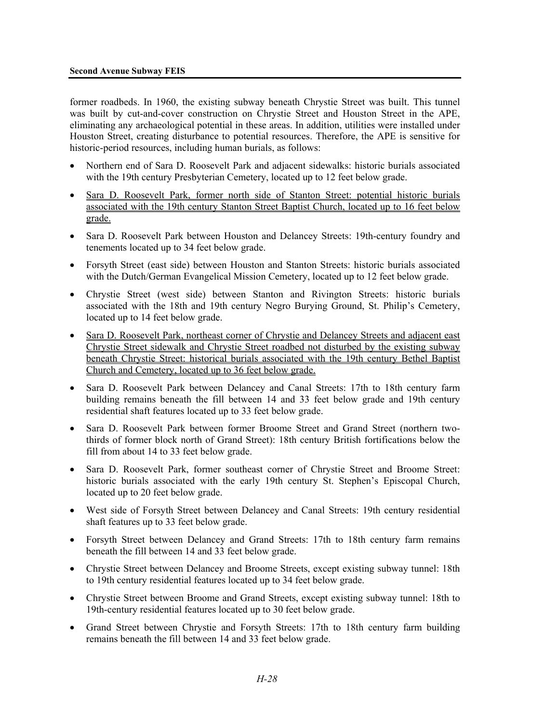former roadbeds. In 1960, the existing subway beneath Chrystie Street was built. This tunnel was built by cut-and-cover construction on Chrystie Street and Houston Street in the APE, eliminating any archaeological potential in these areas. In addition, utilities were installed under Houston Street, creating disturbance to potential resources. Therefore, the APE is sensitive for historic-period resources, including human burials, as follows:

- Northern end of Sara D. Roosevelt Park and adjacent sidewalks: historic burials associated with the 19th century Presbyterian Cemetery, located up to 12 feet below grade.
- Sara D. Roosevelt Park, former north side of Stanton Street: potential historic burials associated with the 19th century Stanton Street Baptist Church, located up to 16 feet below grade.
- Sara D. Roosevelt Park between Houston and Delancey Streets: 19th-century foundry and tenements located up to 34 feet below grade.
- Forsyth Street (east side) between Houston and Stanton Streets: historic burials associated with the Dutch/German Evangelical Mission Cemetery, located up to 12 feet below grade.
- Chrystie Street (west side) between Stanton and Rivington Streets: historic burials associated with the 18th and 19th century Negro Burying Ground, St. Philip's Cemetery, located up to 14 feet below grade.
- Sara D. Roosevelt Park, northeast corner of Chrystie and Delancey Streets and adjacent east Chrystie Street sidewalk and Chrystie Street roadbed not disturbed by the existing subway beneath Chrystie Street: historical burials associated with the 19th century Bethel Baptist Church and Cemetery, located up to 36 feet below grade.
- Sara D. Roosevelt Park between Delancey and Canal Streets: 17th to 18th century farm building remains beneath the fill between 14 and 33 feet below grade and 19th century residential shaft features located up to 33 feet below grade.
- Sara D. Roosevelt Park between former Broome Street and Grand Street (northern twothirds of former block north of Grand Street): 18th century British fortifications below the fill from about 14 to 33 feet below grade.
- Sara D. Roosevelt Park, former southeast corner of Chrystie Street and Broome Street: historic burials associated with the early 19th century St. Stephen's Episcopal Church, located up to 20 feet below grade.
- West side of Forsyth Street between Delancey and Canal Streets: 19th century residential shaft features up to 33 feet below grade.
- Forsyth Street between Delancey and Grand Streets: 17th to 18th century farm remains beneath the fill between 14 and 33 feet below grade.
- Chrystie Street between Delancey and Broome Streets, except existing subway tunnel: 18th to 19th century residential features located up to 34 feet below grade.
- Chrystie Street between Broome and Grand Streets, except existing subway tunnel: 18th to 19th-century residential features located up to 30 feet below grade.
- Grand Street between Chrystie and Forsyth Streets: 17th to 18th century farm building remains beneath the fill between 14 and 33 feet below grade.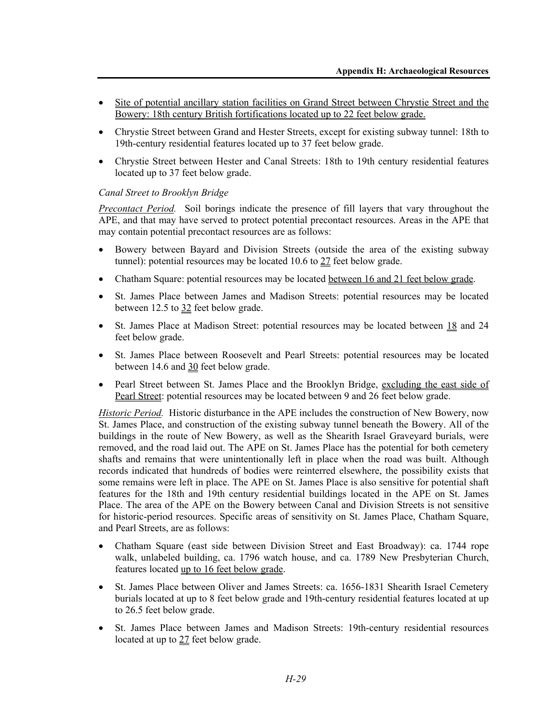- Site of potential ancillary station facilities on Grand Street between Chrystie Street and the Bowery: 18th century British fortifications located up to 22 feet below grade.
- Chrystie Street between Grand and Hester Streets, except for existing subway tunnel: 18th to 19th-century residential features located up to 37 feet below grade.
- Chrystie Street between Hester and Canal Streets: 18th to 19th century residential features located up to 37 feet below grade.

## *Canal Street to Brooklyn Bridge*

*Precontact Period.* Soil borings indicate the presence of fill layers that vary throughout the APE, and that may have served to protect potential precontact resources. Areas in the APE that may contain potential precontact resources are as follows:

- Bowery between Bayard and Division Streets (outside the area of the existing subway tunnel): potential resources may be located 10.6 to 27 feet below grade.
- Chatham Square: potential resources may be located between 16 and 21 feet below grade.
- St. James Place between James and Madison Streets: potential resources may be located between 12.5 to 32 feet below grade.
- St. James Place at Madison Street: potential resources may be located between 18 and 24 feet below grade.
- St. James Place between Roosevelt and Pearl Streets: potential resources may be located between 14.6 and 30 feet below grade.
- Pearl Street between St. James Place and the Brooklyn Bridge, excluding the east side of Pearl Street: potential resources may be located between 9 and 26 feet below grade.

*Historic Period.* Historic disturbance in the APE includes the construction of New Bowery, now St. James Place, and construction of the existing subway tunnel beneath the Bowery. All of the buildings in the route of New Bowery, as well as the Shearith Israel Graveyard burials, were removed, and the road laid out. The APE on St. James Place has the potential for both cemetery shafts and remains that were unintentionally left in place when the road was built. Although records indicated that hundreds of bodies were reinterred elsewhere, the possibility exists that some remains were left in place. The APE on St. James Place is also sensitive for potential shaft features for the 18th and 19th century residential buildings located in the APE on St. James Place. The area of the APE on the Bowery between Canal and Division Streets is not sensitive for historic-period resources. Specific areas of sensitivity on St. James Place, Chatham Square, and Pearl Streets, are as follows:

- Chatham Square (east side between Division Street and East Broadway): ca. 1744 rope walk, unlabeled building, ca. 1796 watch house, and ca. 1789 New Presbyterian Church, features located up to 16 feet below grade.
- St. James Place between Oliver and James Streets: ca. 1656-1831 Shearith Israel Cemetery burials located at up to 8 feet below grade and 19th-century residential features located at up to 26.5 feet below grade.
- St. James Place between James and Madison Streets: 19th-century residential resources located at up to 27 feet below grade.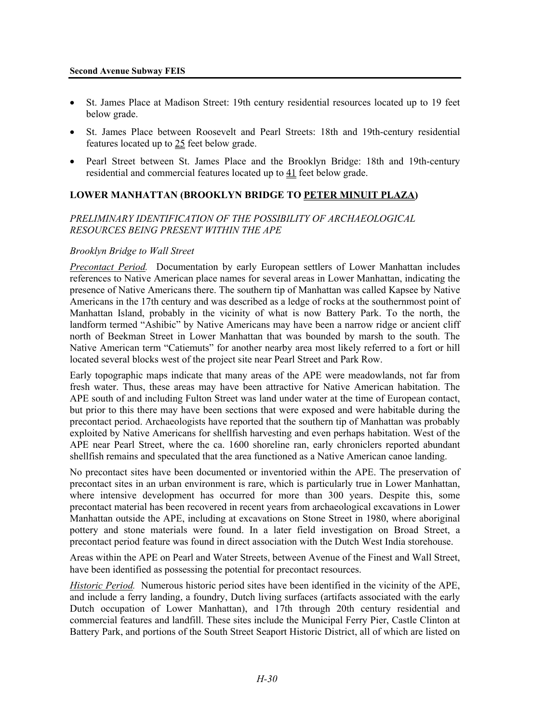- St. James Place at Madison Street: 19th century residential resources located up to 19 feet below grade.
- St. James Place between Roosevelt and Pearl Streets: 18th and 19th-century residential features located up to 25 feet below grade.
- Pearl Street between St. James Place and the Brooklyn Bridge: 18th and 19th-century residential and commercial features located up to 41 feet below grade.

# **LOWER MANHATTAN (BROOKLYN BRIDGE TO PETER MINUIT PLAZA)**

## *PRELIMINARY IDENTIFICATION OF THE POSSIBILITY OF ARCHAEOLOGICAL RESOURCES BEING PRESENT WITHIN THE APE*

## *Brooklyn Bridge to Wall Street*

*Precontact Period.* Documentation by early European settlers of Lower Manhattan includes references to Native American place names for several areas in Lower Manhattan, indicating the presence of Native Americans there. The southern tip of Manhattan was called Kapsee by Native Americans in the 17th century and was described as a ledge of rocks at the southernmost point of Manhattan Island, probably in the vicinity of what is now Battery Park. To the north, the landform termed "Ashibic" by Native Americans may have been a narrow ridge or ancient cliff north of Beekman Street in Lower Manhattan that was bounded by marsh to the south. The Native American term "Catiemuts" for another nearby area most likely referred to a fort or hill located several blocks west of the project site near Pearl Street and Park Row.

Early topographic maps indicate that many areas of the APE were meadowlands, not far from fresh water. Thus, these areas may have been attractive for Native American habitation. The APE south of and including Fulton Street was land under water at the time of European contact, but prior to this there may have been sections that were exposed and were habitable during the precontact period. Archaeologists have reported that the southern tip of Manhattan was probably exploited by Native Americans for shellfish harvesting and even perhaps habitation. West of the APE near Pearl Street, where the ca. 1600 shoreline ran, early chroniclers reported abundant shellfish remains and speculated that the area functioned as a Native American canoe landing.

No precontact sites have been documented or inventoried within the APE. The preservation of precontact sites in an urban environment is rare, which is particularly true in Lower Manhattan, where intensive development has occurred for more than 300 years. Despite this, some precontact material has been recovered in recent years from archaeological excavations in Lower Manhattan outside the APE, including at excavations on Stone Street in 1980, where aboriginal pottery and stone materials were found. In a later field investigation on Broad Street, a precontact period feature was found in direct association with the Dutch West India storehouse.

Areas within the APE on Pearl and Water Streets, between Avenue of the Finest and Wall Street, have been identified as possessing the potential for precontact resources.

*Historic Period.* Numerous historic period sites have been identified in the vicinity of the APE, and include a ferry landing, a foundry, Dutch living surfaces (artifacts associated with the early Dutch occupation of Lower Manhattan), and 17th through 20th century residential and commercial features and landfill. These sites include the Municipal Ferry Pier, Castle Clinton at Battery Park, and portions of the South Street Seaport Historic District, all of which are listed on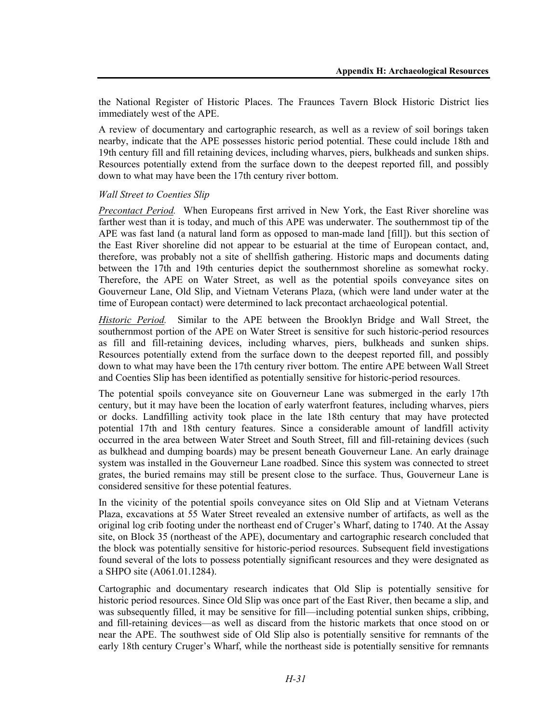the National Register of Historic Places. The Fraunces Tavern Block Historic District lies immediately west of the APE.

A review of documentary and cartographic research, as well as a review of soil borings taken nearby, indicate that the APE possesses historic period potential. These could include 18th and 19th century fill and fill retaining devices, including wharves, piers, bulkheads and sunken ships. Resources potentially extend from the surface down to the deepest reported fill, and possibly down to what may have been the 17th century river bottom.

## *Wall Street to Coenties Slip*

*Precontact Period.* When Europeans first arrived in New York, the East River shoreline was farther west than it is today, and much of this APE was underwater. The southernmost tip of the APE was fast land (a natural land form as opposed to man-made land [fill]). but this section of the East River shoreline did not appear to be estuarial at the time of European contact, and, therefore, was probably not a site of shellfish gathering. Historic maps and documents dating between the 17th and 19th centuries depict the southernmost shoreline as somewhat rocky. Therefore, the APE on Water Street, as well as the potential spoils conveyance sites on Gouverneur Lane, Old Slip, and Vietnam Veterans Plaza, (which were land under water at the time of European contact) were determined to lack precontact archaeological potential.

*Historic Period.* Similar to the APE between the Brooklyn Bridge and Wall Street, the southernmost portion of the APE on Water Street is sensitive for such historic-period resources as fill and fill-retaining devices, including wharves, piers, bulkheads and sunken ships. Resources potentially extend from the surface down to the deepest reported fill, and possibly down to what may have been the 17th century river bottom. The entire APE between Wall Street and Coenties Slip has been identified as potentially sensitive for historic-period resources.

The potential spoils conveyance site on Gouverneur Lane was submerged in the early 17th century, but it may have been the location of early waterfront features, including wharves, piers or docks. Landfilling activity took place in the late 18th century that may have protected potential 17th and 18th century features. Since a considerable amount of landfill activity occurred in the area between Water Street and South Street, fill and fill-retaining devices (such as bulkhead and dumping boards) may be present beneath Gouverneur Lane. An early drainage system was installed in the Gouverneur Lane roadbed. Since this system was connected to street grates, the buried remains may still be present close to the surface. Thus, Gouverneur Lane is considered sensitive for these potential features.

In the vicinity of the potential spoils conveyance sites on Old Slip and at Vietnam Veterans Plaza, excavations at 55 Water Street revealed an extensive number of artifacts, as well as the original log crib footing under the northeast end of Cruger's Wharf, dating to 1740. At the Assay site, on Block 35 (northeast of the APE), documentary and cartographic research concluded that the block was potentially sensitive for historic-period resources. Subsequent field investigations found several of the lots to possess potentially significant resources and they were designated as a SHPO site (A061.01.1284).

Cartographic and documentary research indicates that Old Slip is potentially sensitive for historic period resources. Since Old Slip was once part of the East River, then became a slip, and was subsequently filled, it may be sensitive for fill—including potential sunken ships, cribbing, and fill-retaining devices—as well as discard from the historic markets that once stood on or near the APE. The southwest side of Old Slip also is potentially sensitive for remnants of the early 18th century Cruger's Wharf, while the northeast side is potentially sensitive for remnants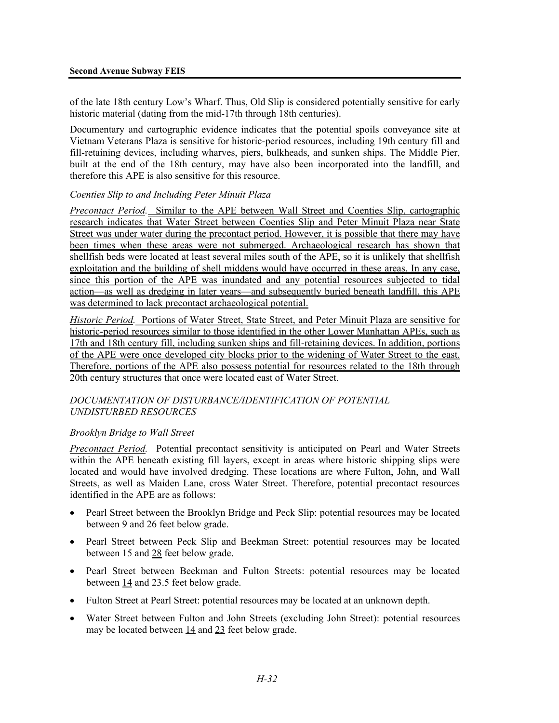of the late 18th century Low's Wharf. Thus, Old Slip is considered potentially sensitive for early historic material (dating from the mid-17th through 18th centuries).

Documentary and cartographic evidence indicates that the potential spoils conveyance site at Vietnam Veterans Plaza is sensitive for historic-period resources, including 19th century fill and fill-retaining devices, including wharves, piers, bulkheads, and sunken ships. The Middle Pier, built at the end of the 18th century, may have also been incorporated into the landfill, and therefore this APE is also sensitive for this resource.

## *Coenties Slip to and Including Peter Minuit Plaza*

*Precontact Period.* Similar to the APE between Wall Street and Coenties Slip, cartographic research indicates that Water Street between Coenties Slip and Peter Minuit Plaza near State Street was under water during the precontact period. However, it is possible that there may have been times when these areas were not submerged. Archaeological research has shown that shellfish beds were located at least several miles south of the APE, so it is unlikely that shellfish exploitation and the building of shell middens would have occurred in these areas. In any case, since this portion of the APE was inundated and any potential resources subjected to tidal action—as well as dredging in later years—and subsequently buried beneath landfill, this APE was determined to lack precontact archaeological potential.

*Historic Period.* Portions of Water Street, State Street, and Peter Minuit Plaza are sensitive for historic-period resources similar to those identified in the other Lower Manhattan APEs, such as 17th and 18th century fill, including sunken ships and fill-retaining devices. In addition, portions of the APE were once developed city blocks prior to the widening of Water Street to the east. Therefore, portions of the APE also possess potential for resources related to the 18th through 20th century structures that once were located east of Water Street.

## *DOCUMENTATION OF DISTURBANCE/IDENTIFICATION OF POTENTIAL UNDISTURBED RESOURCES*

## *Brooklyn Bridge to Wall Street*

*Precontact Period.* Potential precontact sensitivity is anticipated on Pearl and Water Streets within the APE beneath existing fill layers, except in areas where historic shipping slips were located and would have involved dredging. These locations are where Fulton, John, and Wall Streets, as well as Maiden Lane, cross Water Street. Therefore, potential precontact resources identified in the APE are as follows:

- Pearl Street between the Brooklyn Bridge and Peck Slip: potential resources may be located between 9 and 26 feet below grade.
- Pearl Street between Peck Slip and Beekman Street: potential resources may be located between 15 and 28 feet below grade.
- Pearl Street between Beekman and Fulton Streets: potential resources may be located between 14 and 23.5 feet below grade.
- Fulton Street at Pearl Street: potential resources may be located at an unknown depth.
- Water Street between Fulton and John Streets (excluding John Street): potential resources may be located between 14 and 23 feet below grade.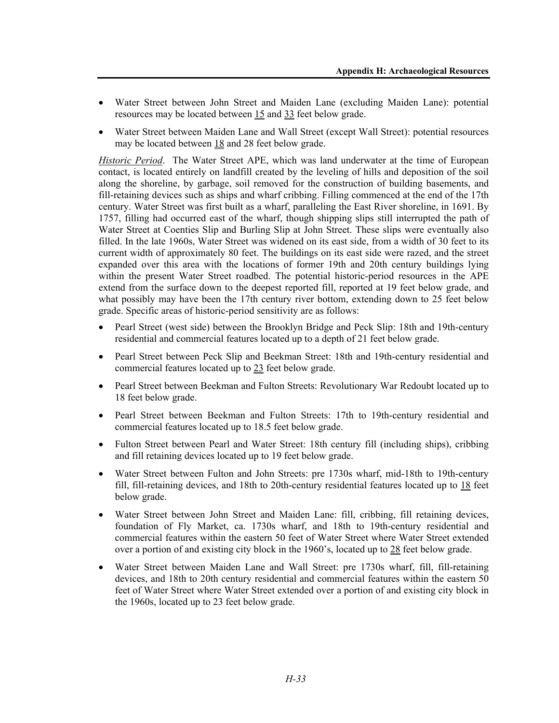- Water Street between John Street and Maiden Lane (excluding Maiden Lane): potential resources may be located between 15 and 33 feet below grade.
- Water Street between Maiden Lane and Wall Street (except Wall Street): potential resources may be located between 18 and 28 feet below grade.

*Historic Period*. The Water Street APE, which was land underwater at the time of European contact, is located entirely on landfill created by the leveling of hills and deposition of the soil along the shoreline, by garbage, soil removed for the construction of building basements, and fill-retaining devices such as ships and wharf cribbing. Filling commenced at the end of the 17th century. Water Street was first built as a wharf, paralleling the East River shoreline, in 1691. By 1757, filling had occurred east of the wharf, though shipping slips still interrupted the path of Water Street at Coenties Slip and Burling Slip at John Street. These slips were eventually also filled. In the late 1960s, Water Street was widened on its east side, from a width of 30 feet to its current width of approximately 80 feet. The buildings on its east side were razed, and the street expanded over this area with the locations of former 19th and 20th century buildings lying within the present Water Street roadbed. The potential historic-period resources in the APE extend from the surface down to the deepest reported fill, reported at 19 feet below grade, and what possibly may have been the 17th century river bottom, extending down to 25 feet below grade. Specific areas of historic-period sensitivity are as follows:

- Pearl Street (west side) between the Brooklyn Bridge and Peck Slip: 18th and 19th-century residential and commercial features located up to a depth of 21 feet below grade.
- Pearl Street between Peck Slip and Beekman Street: 18th and 19th-century residential and commercial features located up to 23 feet below grade.
- Pearl Street between Beekman and Fulton Streets: Revolutionary War Redoubt located up to 18 feet below grade.
- Pearl Street between Beekman and Fulton Streets: 17th to 19th-century residential and commercial features located up to 18.5 feet below grade.
- Fulton Street between Pearl and Water Street: 18th century fill (including ships), cribbing and fill retaining devices located up to 19 feet below grade.
- Water Street between Fulton and John Streets: pre 1730s wharf, mid-18th to 19th-century fill, fill-retaining devices, and 18th to 20th-century residential features located up to 18 feet below grade.
- Water Street between John Street and Maiden Lane: fill, cribbing, fill retaining devices, foundation of Fly Market, ca. 1730s wharf, and 18th to 19th-century residential and commercial features within the eastern 50 feet of Water Street where Water Street extended over a portion of and existing city block in the 1960's, located up to 28 feet below grade.
- Water Street between Maiden Lane and Wall Street: pre 1730s wharf, fill, fill-retaining devices, and 18th to 20th century residential and commercial features within the eastern 50 feet of Water Street where Water Street extended over a portion of and existing city block in the 1960s, located up to 23 feet below grade.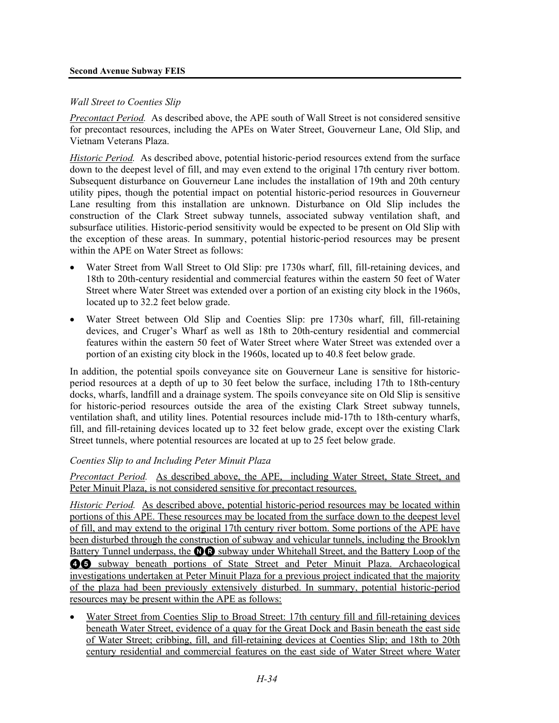#### **Second Avenue Subway FEIS**

## *Wall Street to Coenties Slip*

*Precontact Period.* As described above, the APE south of Wall Street is not considered sensitive for precontact resources, including the APEs on Water Street, Gouverneur Lane, Old Slip, and Vietnam Veterans Plaza.

*Historic Period.* As described above, potential historic-period resources extend from the surface down to the deepest level of fill, and may even extend to the original 17th century river bottom. Subsequent disturbance on Gouverneur Lane includes the installation of 19th and 20th century utility pipes, though the potential impact on potential historic-period resources in Gouverneur Lane resulting from this installation are unknown. Disturbance on Old Slip includes the construction of the Clark Street subway tunnels, associated subway ventilation shaft, and subsurface utilities. Historic-period sensitivity would be expected to be present on Old Slip with the exception of these areas. In summary, potential historic-period resources may be present within the APE on Water Street as follows:

- Water Street from Wall Street to Old Slip: pre 1730s wharf, fill, fill-retaining devices, and 18th to 20th-century residential and commercial features within the eastern 50 feet of Water Street where Water Street was extended over a portion of an existing city block in the 1960s, located up to 32.2 feet below grade.
- Water Street between Old Slip and Coenties Slip: pre 1730s wharf, fill, fill-retaining devices, and Cruger's Wharf as well as 18th to 20th-century residential and commercial features within the eastern 50 feet of Water Street where Water Street was extended over a portion of an existing city block in the 1960s, located up to 40.8 feet below grade.

In addition, the potential spoils conveyance site on Gouverneur Lane is sensitive for historicperiod resources at a depth of up to 30 feet below the surface, including 17th to 18th-century docks, wharfs, landfill and a drainage system. The spoils conveyance site on Old Slip is sensitive for historic-period resources outside the area of the existing Clark Street subway tunnels, ventilation shaft, and utility lines. Potential resources include mid-17th to 18th-century wharfs, fill, and fill-retaining devices located up to 32 feet below grade, except over the existing Clark Street tunnels, where potential resources are located at up to 25 feet below grade.

## *Coenties Slip to and Including Peter Minuit Plaza*

*Precontact Period.* As described above, the APE, including Water Street, State Street, and Peter Minuit Plaza, is not considered sensitive for precontact resources.

*Historic Period.* As described above, potential historic-period resources may be located within portions of this APE. These resources may be located from the surface down to the deepest level of fill, and may extend to the original 17th century river bottom. Some portions of the APE have been disturbed through the construction of subway and vehicular tunnels, including the Brooklyn Battery Tunnel underpass, the **OR** subway under Whitehall Street, and the Battery Loop of the 45 subway beneath portions of State Street and Peter Minuit Plaza. Archaeological investigations undertaken at Peter Minuit Plaza for a previous project indicated that the majority of the plaza had been previously extensively disturbed. In summary, potential historic-period resources may be present within the APE as follows:

• Water Street from Coenties Slip to Broad Street: 17th century fill and fill-retaining devices beneath Water Street, evidence of a quay for the Great Dock and Basin beneath the east side of Water Street; cribbing, fill, and fill-retaining devices at Coenties Slip; and 18th to 20th century residential and commercial features on the east side of Water Street where Water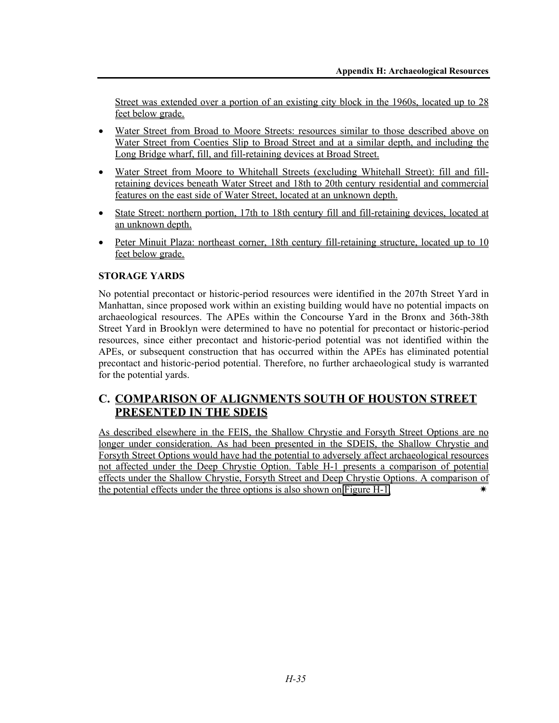Street was extended over a portion of an existing city block in the 1960s, located up to 28 feet below grade.

- Water Street from Broad to Moore Streets: resources similar to those described above on Water Street from Coenties Slip to Broad Street and at a similar depth, and including the Long Bridge wharf, fill, and fill-retaining devices at Broad Street.
- Water Street from Moore to Whitehall Streets (excluding Whitehall Street): fill and fillretaining devices beneath Water Street and 18th to 20th century residential and commercial features on the east side of Water Street, located at an unknown depth.
- State Street: northern portion, 17th to 18th century fill and fill-retaining devices, located at an unknown depth.
- Peter Minuit Plaza: northeast corner, 18th century fill-retaining structure, located up to 10 feet below grade.

## **STORAGE YARDS**

No potential precontact or historic-period resources were identified in the 207th Street Yard in Manhattan, since proposed work within an existing building would have no potential impacts on archaeological resources. The APEs within the Concourse Yard in the Bronx and 36th-38th Street Yard in Brooklyn were determined to have no potential for precontact or historic-period resources, since either precontact and historic-period potential was not identified within the APEs, or subsequent construction that has occurred within the APEs has eliminated potential precontact and historic-period potential. Therefore, no further archaeological study is warranted for the potential yards.

# **C. COMPARISON OF ALIGNMENTS SOUTH OF HOUSTON STREET PRESENTED IN THE SDEIS**

As described elsewhere in the FEIS, the Shallow Chrystie and Forsyth Street Options are no longer under consideration. As had been presented in the SDEIS, the Shallow Chrystie and Forsyth Street Options would have had the potential to adversely affect archaeological resources not affected under the Deep Chrystie Option. Table H-1 presents a comparison of potential effects under the Shallow Chrystie, Forsyth Street and Deep Chrystie Options. A comparison of the potential effects under the three options is also shown on Figure H-1.